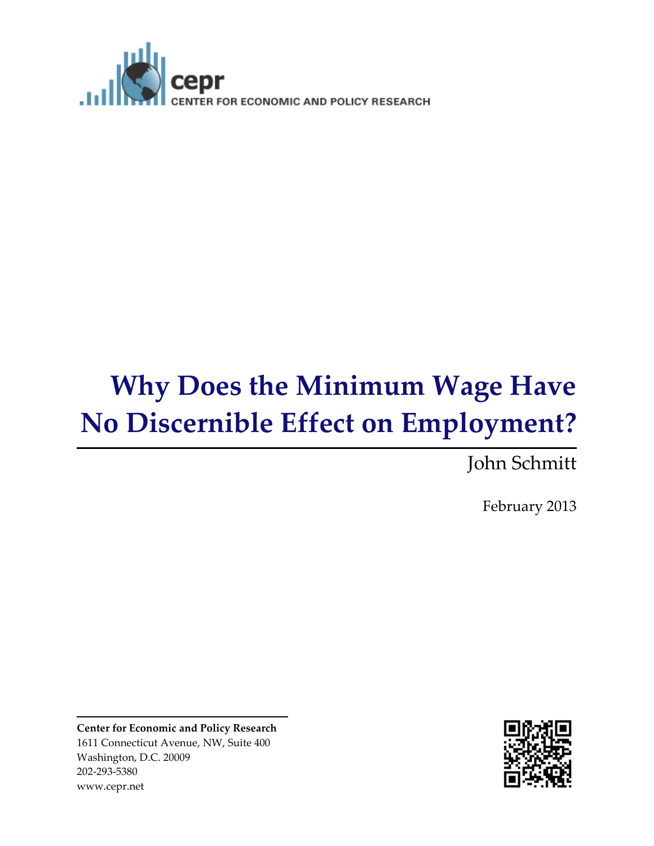

# **Why Does the Minimum Wage Have No Discernible Effect on Employment?**

John Schmitt

February 2013

**Center for Economic and Policy Research** 1611 Connecticut Avenue, NW, Suite 400 Washington, D.C. 20009 202-293-5380 www.cepr.net

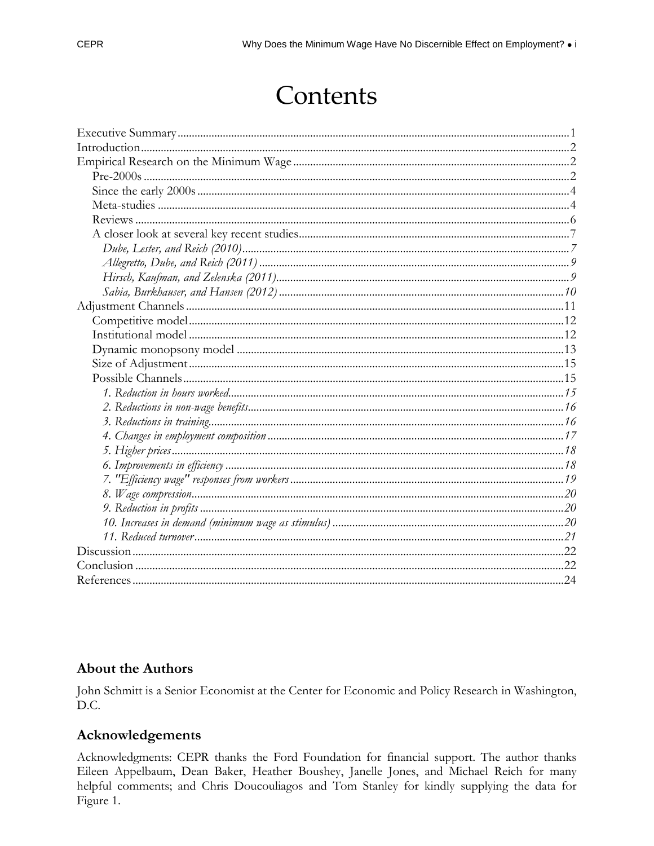# Contents

#### **About the Authors**

John Schmitt is a Senior Economist at the Center for Economic and Policy Research in Washington, D.C.

#### Acknowledgements

Acknowledgments: CEPR thanks the Ford Foundation for financial support. The author thanks Eileen Appelbaum, Dean Baker, Heather Boushey, Janelle Jones, and Michael Reich for many helpful comments; and Chris Doucouliagos and Tom Stanley for kindly supplying the data for Figure 1.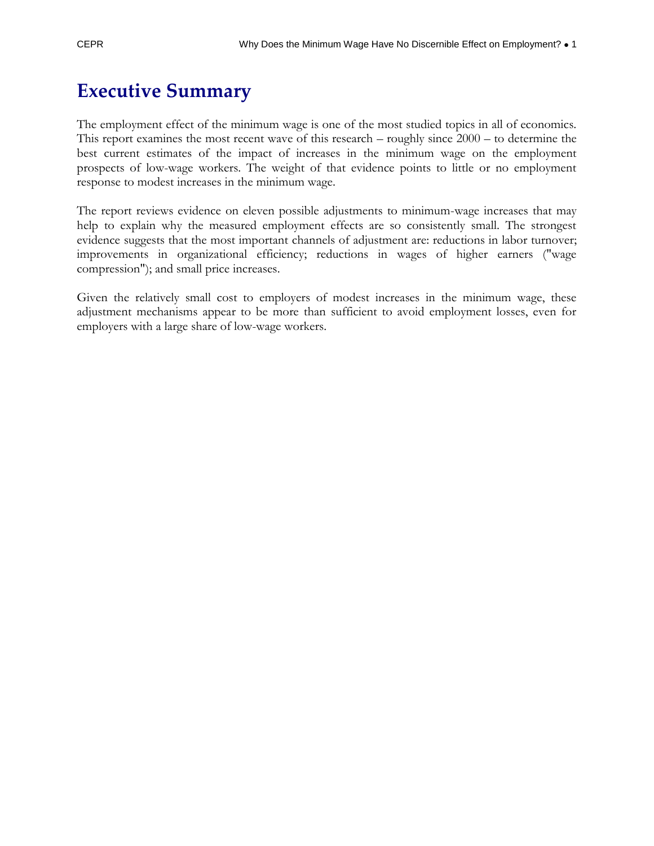# <span id="page-2-0"></span>**Executive Summary**

The employment effect of the minimum wage is one of the most studied topics in all of economics. This report examines the most recent wave of this research – roughly since 2000 – to determine the best current estimates of the impact of increases in the minimum wage on the employment prospects of low-wage workers. The weight of that evidence points to little or no employment response to modest increases in the minimum wage.

The report reviews evidence on eleven possible adjustments to minimum-wage increases that may help to explain why the measured employment effects are so consistently small. The strongest evidence suggests that the most important channels of adjustment are: reductions in labor turnover; improvements in organizational efficiency; reductions in wages of higher earners ("wage compression"); and small price increases.

Given the relatively small cost to employers of modest increases in the minimum wage, these adjustment mechanisms appear to be more than sufficient to avoid employment losses, even for employers with a large share of low-wage workers.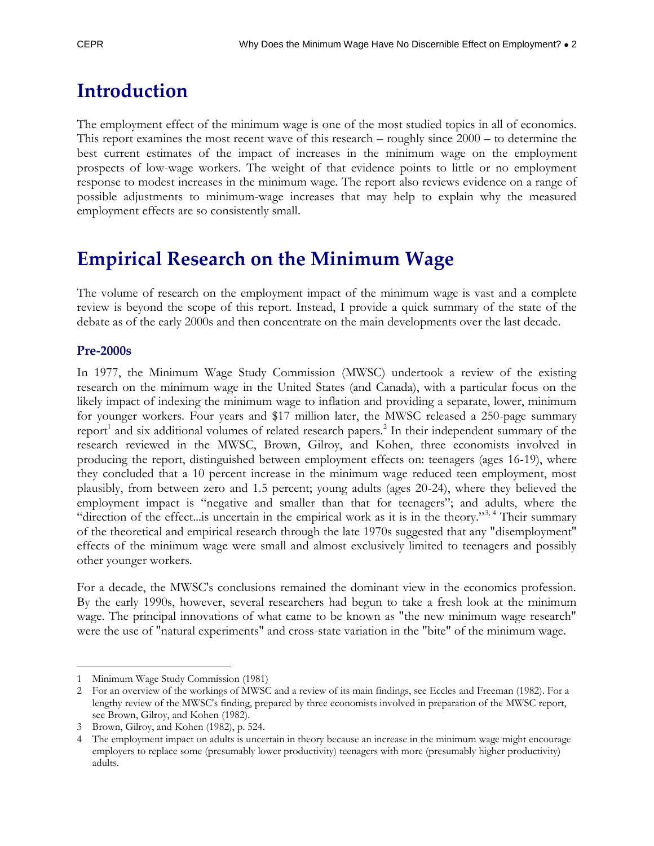# <span id="page-3-0"></span>**Introduction**

The employment effect of the minimum wage is one of the most studied topics in all of economics. This report examines the most recent wave of this research – roughly since 2000 – to determine the best current estimates of the impact of increases in the minimum wage on the employment prospects of low-wage workers. The weight of that evidence points to little or no employment response to modest increases in the minimum wage. The report also reviews evidence on a range of possible adjustments to minimum-wage increases that may help to explain why the measured employment effects are so consistently small.

### <span id="page-3-1"></span>**Empirical Research on the Minimum Wage**

The volume of research on the employment impact of the minimum wage is vast and a complete review is beyond the scope of this report. Instead, I provide a quick summary of the state of the debate as of the early 2000s and then concentrate on the main developments over the last decade.

#### <span id="page-3-2"></span>**Pre-2000s**

In 1977, the Minimum Wage Study Commission (MWSC) undertook a review of the existing research on the minimum wage in the United States (and Canada), with a particular focus on the likely impact of indexing the minimum wage to inflation and providing a separate, lower, minimum for younger workers. Four years and \$17 million later, the MWSC released a 250-page summary report<sup>1</sup> and six additional volumes of related research papers.<sup>2</sup> In their independent summary of the research reviewed in the MWSC, Brown, Gilroy, and Kohen, three economists involved in producing the report, distinguished between employment effects on: teenagers (ages 16-19), where they concluded that a 10 percent increase in the minimum wage reduced teen employment, most plausibly, from between zero and 1.5 percent; young adults (ages 20-24), where they believed the employment impact is "negative and smaller than that for teenagers"; and adults, where the "direction of the effect...is uncertain in the empirical work as it is in the theory."<sup>3, 4</sup> Their summary of the theoretical and empirical research through the late 1970s suggested that any "disemployment" effects of the minimum wage were small and almost exclusively limited to teenagers and possibly other younger workers.

For a decade, the MWSC's conclusions remained the dominant view in the economics profession. By the early 1990s, however, several researchers had begun to take a fresh look at the minimum wage. The principal innovations of what came to be known as "the new minimum wage research" were the use of "natural experiments" and cross-state variation in the "bite" of the minimum wage.

 $\overline{a}$ 1 Minimum Wage Study Commission (1981)

<sup>2</sup> For an overview of the workings of MWSC and a review of its main findings, see Eccles and Freeman (1982). For a lengthy review of the MWSC's finding, prepared by three economists involved in preparation of the MWSC report, see Brown, Gilroy, and Kohen (1982).

<sup>3</sup> Brown, Gilroy, and Kohen (1982), p. 524.

<sup>4</sup> The employment impact on adults is uncertain in theory because an increase in the minimum wage might encourage employers to replace some (presumably lower productivity) teenagers with more (presumably higher productivity) adults.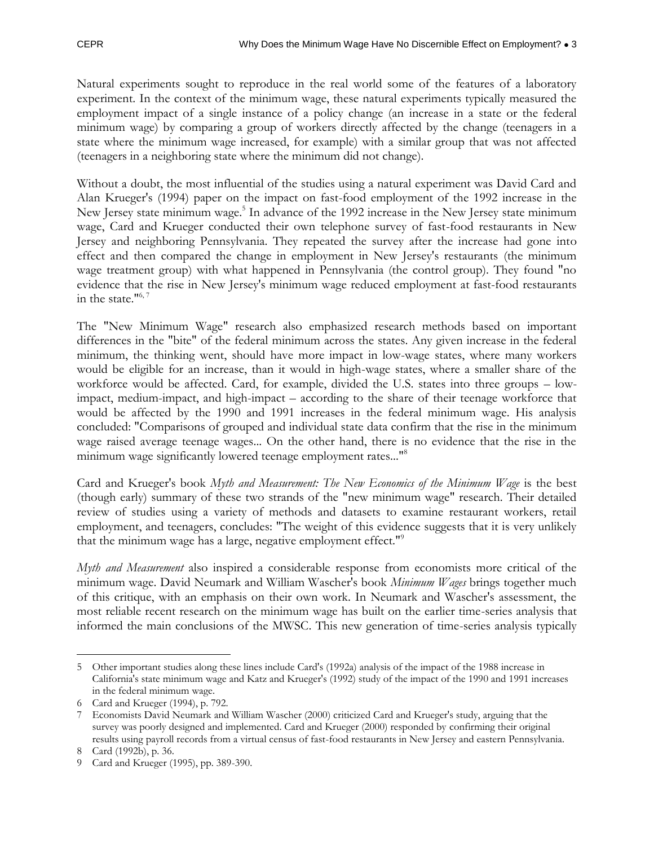Natural experiments sought to reproduce in the real world some of the features of a laboratory experiment. In the context of the minimum wage, these natural experiments typically measured the employment impact of a single instance of a policy change (an increase in a state or the federal minimum wage) by comparing a group of workers directly affected by the change (teenagers in a state where the minimum wage increased, for example) with a similar group that was not affected (teenagers in a neighboring state where the minimum did not change).

Without a doubt, the most influential of the studies using a natural experiment was David Card and Alan Krueger's (1994) paper on the impact on fast-food employment of the 1992 increase in the New Jersey state minimum wage. 5 In advance of the 1992 increase in the New Jersey state minimum wage, Card and Krueger conducted their own telephone survey of fast-food restaurants in New Jersey and neighboring Pennsylvania. They repeated the survey after the increase had gone into effect and then compared the change in employment in New Jersey's restaurants (the minimum wage treatment group) with what happened in Pennsylvania (the control group). They found "no evidence that the rise in New Jersey's minimum wage reduced employment at fast-food restaurants in the state. $10^{6,7}$ 

The "New Minimum Wage" research also emphasized research methods based on important differences in the "bite" of the federal minimum across the states. Any given increase in the federal minimum, the thinking went, should have more impact in low-wage states, where many workers would be eligible for an increase, than it would in high-wage states, where a smaller share of the workforce would be affected. Card, for example, divided the U.S. states into three groups – lowimpact, medium-impact, and high-impact – according to the share of their teenage workforce that would be affected by the 1990 and 1991 increases in the federal minimum wage. His analysis concluded: "Comparisons of grouped and individual state data confirm that the rise in the minimum wage raised average teenage wages... On the other hand, there is no evidence that the rise in the minimum wage significantly lowered teenage employment rates..."<sup>8</sup>

Card and Krueger's book *Myth and Measurement: The New Economics of the Minimum Wage* is the best (though early) summary of these two strands of the "new minimum wage" research. Their detailed review of studies using a variety of methods and datasets to examine restaurant workers, retail employment, and teenagers, concludes: "The weight of this evidence suggests that it is very unlikely that the minimum wage has a large, negative employment effect."<sup>9</sup>

*Myth and Measurement* also inspired a considerable response from economists more critical of the minimum wage. David Neumark and William Wascher's book *Minimum Wages* brings together much of this critique, with an emphasis on their own work. In Neumark and Wascher's assessment, the most reliable recent research on the minimum wage has built on the earlier time-series analysis that informed the main conclusions of the MWSC. This new generation of time-series analysis typically

 $\overline{a}$ 5 Other important studies along these lines include Card's (1992a) analysis of the impact of the 1988 increase in California's state minimum wage and Katz and Krueger's (1992) study of the impact of the 1990 and 1991 increases in the federal minimum wage.

<sup>6</sup> Card and Krueger (1994), p. 792.

<sup>7</sup> Economists David Neumark and William Wascher (2000) criticized Card and Krueger's study, arguing that the survey was poorly designed and implemented. Card and Krueger (2000) responded by confirming their original results using payroll records from a virtual census of fast-food restaurants in New Jersey and eastern Pennsylvania.

<sup>8</sup> Card (1992b), p. 36.

<sup>9</sup> Card and Krueger (1995), pp. 389-390.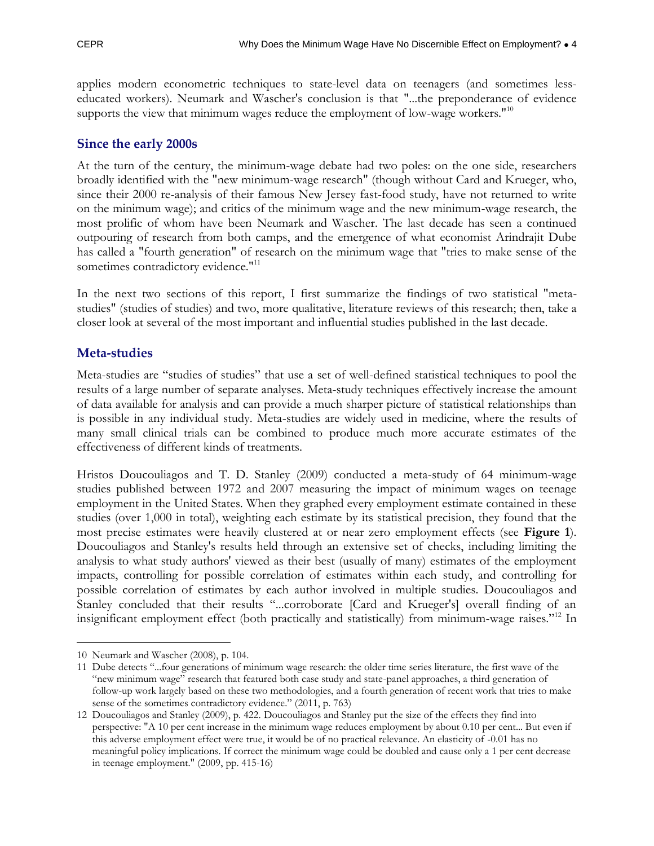applies modern econometric techniques to state-level data on teenagers (and sometimes lesseducated workers). Neumark and Wascher's conclusion is that "...the preponderance of evidence supports the view that minimum wages reduce the employment of low-wage workers."<sup>10</sup>

#### <span id="page-5-0"></span>**Since the early 2000s**

At the turn of the century, the minimum-wage debate had two poles: on the one side, researchers broadly identified with the "new minimum-wage research" (though without Card and Krueger, who, since their 2000 re-analysis of their famous New Jersey fast-food study, have not returned to write on the minimum wage); and critics of the minimum wage and the new minimum-wage research, the most prolific of whom have been Neumark and Wascher. The last decade has seen a continued outpouring of research from both camps, and the emergence of what economist Arindrajit Dube has called a "fourth generation" of research on the minimum wage that "tries to make sense of the sometimes contradictory evidence."<sup>11</sup>

In the next two sections of this report, I first summarize the findings of two statistical "metastudies" (studies of studies) and two, more qualitative, literature reviews of this research; then, take a closer look at several of the most important and influential studies published in the last decade.

#### <span id="page-5-1"></span>**Meta-studies**

Meta-studies are "studies of studies" that use a set of well-defined statistical techniques to pool the results of a large number of separate analyses. Meta-study techniques effectively increase the amount of data available for analysis and can provide a much sharper picture of statistical relationships than is possible in any individual study. Meta-studies are widely used in medicine, where the results of many small clinical trials can be combined to produce much more accurate estimates of the effectiveness of different kinds of treatments.

Hristos Doucouliagos and T. D. Stanley (2009) conducted a meta-study of 64 minimum-wage studies published between 1972 and 2007 measuring the impact of minimum wages on teenage employment in the United States. When they graphed every employment estimate contained in these studies (over 1,000 in total), weighting each estimate by its statistical precision, they found that the most precise estimates were heavily clustered at or near zero employment effects (see **Figure 1**). Doucouliagos and Stanley's results held through an extensive set of checks, including limiting the analysis to what study authors' viewed as their best (usually of many) estimates of the employment impacts, controlling for possible correlation of estimates within each study, and controlling for possible correlation of estimates by each author involved in multiple studies. Doucouliagos and Stanley concluded that their results "...corroborate [Card and Krueger's] overall finding of an insignificant employment effect (both practically and statistically) from minimum-wage raises."<sup>12</sup> In

<sup>10</sup> Neumark and Wascher (2008), p. 104.

<sup>11</sup> Dube detects "...four generations of minimum wage research: the older time series literature, the first wave of the "new minimum wage" research that featured both case study and state-panel approaches, a third generation of follow-up work largely based on these two methodologies, and a fourth generation of recent work that tries to make sense of the sometimes contradictory evidence." (2011, p. 763)

<sup>12</sup> Doucouliagos and Stanley (2009), p. 422. Doucouliagos and Stanley put the size of the effects they find into perspective: "A 10 per cent increase in the minimum wage reduces employment by about 0.10 per cent... But even if this adverse employment effect were true, it would be of no practical relevance. An elasticity of -0.01 has no meaningful policy implications. If correct the minimum wage could be doubled and cause only a 1 per cent decrease in teenage employment." (2009, pp. 415-16)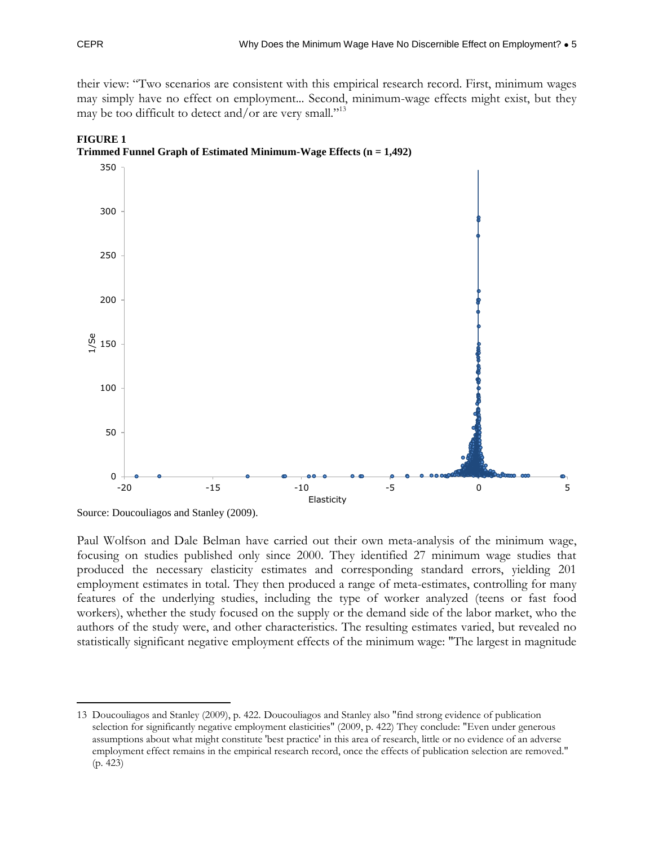their view: "Two scenarios are consistent with this empirical research record. First, minimum wages may simply have no effect on employment... Second, minimum-wage effects might exist, but they may be too difficult to detect and/or are very small."<sup>13</sup>



#### **FIGURE 1 Trimmed Funnel Graph of Estimated Minimum-Wage Effects (n = 1,492)**

Paul Wolfson and Dale Belman have carried out their own meta-analysis of the minimum wage, focusing on studies published only since 2000. They identified 27 minimum wage studies that produced the necessary elasticity estimates and corresponding standard errors, yielding 201 employment estimates in total. They then produced a range of meta-estimates, controlling for many features of the underlying studies, including the type of worker analyzed (teens or fast food workers), whether the study focused on the supply or the demand side of the labor market, who the authors of the study were, and other characteristics. The resulting estimates varied, but revealed no statistically significant negative employment effects of the minimum wage: "The largest in magnitude

Source: Doucouliagos and Stanley (2009).

 $\overline{a}$ 13 Doucouliagos and Stanley (2009), p. 422. Doucouliagos and Stanley also "find strong evidence of publication selection for significantly negative employment elasticities" (2009, p. 422) They conclude: "Even under generous assumptions about what might constitute 'best practice' in this area of research, little or no evidence of an adverse employment effect remains in the empirical research record, once the effects of publication selection are removed." (p. 423)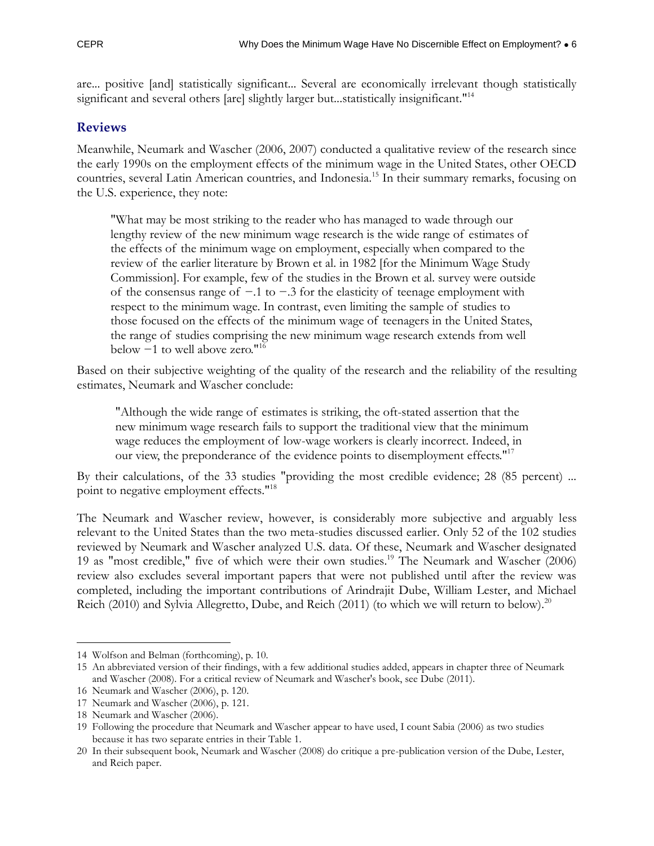are... positive [and] statistically significant... Several are economically irrelevant though statistically significant and several others [are] slightly larger but...statistically insignificant."<sup>14</sup>

#### <span id="page-7-0"></span>**Reviews**

Meanwhile, Neumark and Wascher (2006, 2007) conducted a qualitative review of the research since the early 1990s on the employment effects of the minimum wage in the United States, other OECD countries, several Latin American countries, and Indonesia.<sup>15</sup> In their summary remarks, focusing on the U.S. experience, they note:

"What may be most striking to the reader who has managed to wade through our lengthy review of the new minimum wage research is the wide range of estimates of the effects of the minimum wage on employment, especially when compared to the review of the earlier literature by Brown et al. in 1982 [for the Minimum Wage Study Commission]. For example, few of the studies in the Brown et al. survey were outside of the consensus range of −.1 to −.3 for the elasticity of teenage employment with respect to the minimum wage. In contrast, even limiting the sample of studies to those focused on the effects of the minimum wage of teenagers in the United States, the range of studies comprising the new minimum wage research extends from well below  $-1$  to well above zero."<sup>16</sup>

Based on their subjective weighting of the quality of the research and the reliability of the resulting estimates, Neumark and Wascher conclude:

"Although the wide range of estimates is striking, the oft-stated assertion that the new minimum wage research fails to support the traditional view that the minimum wage reduces the employment of low-wage workers is clearly incorrect. Indeed, in our view, the preponderance of the evidence points to disemployment effects."<sup>17</sup>

By their calculations, of the 33 studies "providing the most credible evidence; 28 (85 percent) ... point to negative employment effects."<sup>18</sup>

The Neumark and Wascher review, however, is considerably more subjective and arguably less relevant to the United States than the two meta-studies discussed earlier. Only 52 of the 102 studies reviewed by Neumark and Wascher analyzed U.S. data. Of these, Neumark and Wascher designated 19 as "most credible," five of which were their own studies.<sup>19</sup> The Neumark and Wascher (2006) review also excludes several important papers that were not published until after the review was completed, including the important contributions of Arindrajit Dube, William Lester, and Michael Reich (2010) and Sylvia Allegretto, Dube, and Reich (2011) (to which we will return to below).<sup>20</sup>

 $\overline{a}$ 14 Wolfson and Belman (forthcoming), p. 10.

<sup>15</sup> An abbreviated version of their findings, with a few additional studies added, appears in chapter three of Neumark and Wascher (2008). For a critical review of Neumark and Wascher's book, see Dube (2011).

<sup>16</sup> Neumark and Wascher (2006), p. 120.

<sup>17</sup> Neumark and Wascher (2006), p. 121.

<sup>18</sup> Neumark and Wascher (2006).

<sup>19</sup> Following the procedure that Neumark and Wascher appear to have used, I count Sabia (2006) as two studies because it has two separate entries in their Table 1.

<sup>20</sup> In their subsequent book, Neumark and Wascher (2008) do critique a pre-publication version of the Dube, Lester, and Reich paper.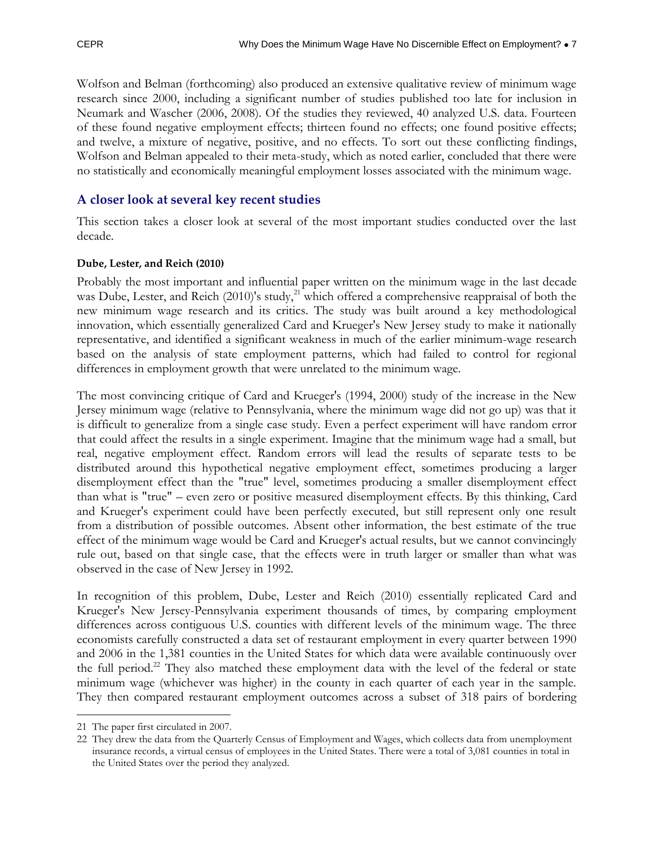Wolfson and Belman (forthcoming) also produced an extensive qualitative review of minimum wage research since 2000, including a significant number of studies published too late for inclusion in Neumark and Wascher (2006, 2008). Of the studies they reviewed, 40 analyzed U.S. data. Fourteen of these found negative employment effects; thirteen found no effects; one found positive effects; and twelve, a mixture of negative, positive, and no effects. To sort out these conflicting findings, Wolfson and Belman appealed to their meta-study, which as noted earlier, concluded that there were no statistically and economically meaningful employment losses associated with the minimum wage.

#### <span id="page-8-0"></span>**A closer look at several key recent studies**

This section takes a closer look at several of the most important studies conducted over the last decade.

#### <span id="page-8-1"></span>**Dube, Lester, and Reich (2010)**

Probably the most important and influential paper written on the minimum wage in the last decade was Dube, Lester, and Reich (2010)'s study,<sup>21</sup> which offered a comprehensive reappraisal of both the new minimum wage research and its critics. The study was built around a key methodological innovation, which essentially generalized Card and Krueger's New Jersey study to make it nationally representative, and identified a significant weakness in much of the earlier minimum-wage research based on the analysis of state employment patterns, which had failed to control for regional differences in employment growth that were unrelated to the minimum wage.

The most convincing critique of Card and Krueger's (1994, 2000) study of the increase in the New Jersey minimum wage (relative to Pennsylvania, where the minimum wage did not go up) was that it is difficult to generalize from a single case study. Even a perfect experiment will have random error that could affect the results in a single experiment. Imagine that the minimum wage had a small, but real, negative employment effect. Random errors will lead the results of separate tests to be distributed around this hypothetical negative employment effect, sometimes producing a larger disemployment effect than the "true" level, sometimes producing a smaller disemployment effect than what is "true" – even zero or positive measured disemployment effects. By this thinking, Card and Krueger's experiment could have been perfectly executed, but still represent only one result from a distribution of possible outcomes. Absent other information, the best estimate of the true effect of the minimum wage would be Card and Krueger's actual results, but we cannot convincingly rule out, based on that single case, that the effects were in truth larger or smaller than what was observed in the case of New Jersey in 1992.

In recognition of this problem, Dube, Lester and Reich (2010) essentially replicated Card and Krueger's New Jersey-Pennsylvania experiment thousands of times, by comparing employment differences across contiguous U.S. counties with different levels of the minimum wage. The three economists carefully constructed a data set of restaurant employment in every quarter between 1990 and 2006 in the 1,381 counties in the United States for which data were available continuously over the full period.<sup>22</sup> They also matched these employment data with the level of the federal or state minimum wage (whichever was higher) in the county in each quarter of each year in the sample. They then compared restaurant employment outcomes across a subset of 318 pairs of bordering

<sup>21</sup> The paper first circulated in 2007.

<sup>22</sup> They drew the data from the Quarterly Census of Employment and Wages, which collects data from unemployment insurance records, a virtual census of employees in the United States. There were a total of 3,081 counties in total in the United States over the period they analyzed.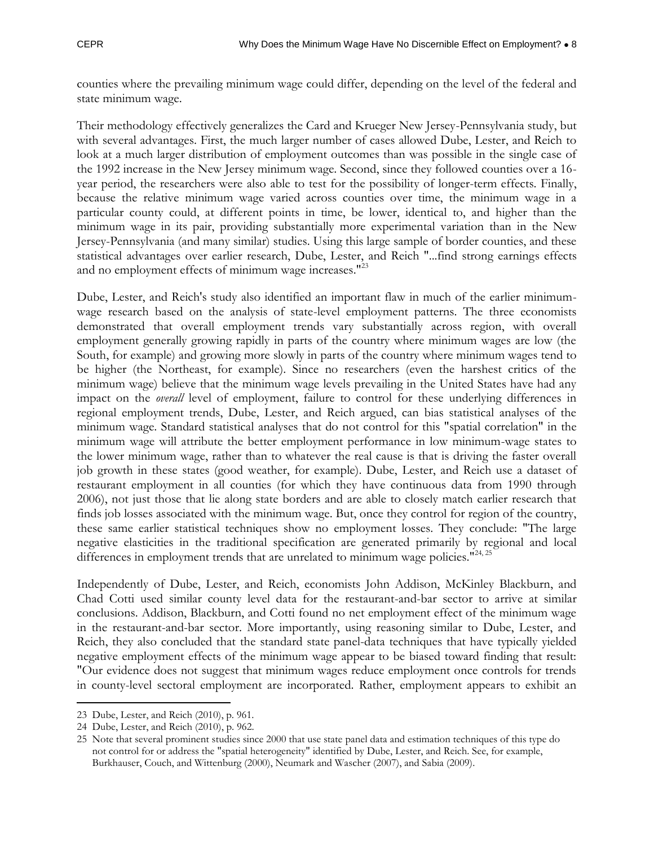counties where the prevailing minimum wage could differ, depending on the level of the federal and state minimum wage.

Their methodology effectively generalizes the Card and Krueger New Jersey-Pennsylvania study, but with several advantages. First, the much larger number of cases allowed Dube, Lester, and Reich to look at a much larger distribution of employment outcomes than was possible in the single case of the 1992 increase in the New Jersey minimum wage. Second, since they followed counties over a 16 year period, the researchers were also able to test for the possibility of longer-term effects. Finally, because the relative minimum wage varied across counties over time, the minimum wage in a particular county could, at different points in time, be lower, identical to, and higher than the minimum wage in its pair, providing substantially more experimental variation than in the New Jersey-Pennsylvania (and many similar) studies. Using this large sample of border counties, and these statistical advantages over earlier research, Dube, Lester, and Reich "...find strong earnings effects and no employment effects of minimum wage increases."<sup>23</sup>

Dube, Lester, and Reich's study also identified an important flaw in much of the earlier minimumwage research based on the analysis of state-level employment patterns. The three economists demonstrated that overall employment trends vary substantially across region, with overall employment generally growing rapidly in parts of the country where minimum wages are low (the South, for example) and growing more slowly in parts of the country where minimum wages tend to be higher (the Northeast, for example). Since no researchers (even the harshest critics of the minimum wage) believe that the minimum wage levels prevailing in the United States have had any impact on the *overall* level of employment, failure to control for these underlying differences in regional employment trends, Dube, Lester, and Reich argued, can bias statistical analyses of the minimum wage. Standard statistical analyses that do not control for this "spatial correlation" in the minimum wage will attribute the better employment performance in low minimum-wage states to the lower minimum wage, rather than to whatever the real cause is that is driving the faster overall job growth in these states (good weather, for example). Dube, Lester, and Reich use a dataset of restaurant employment in all counties (for which they have continuous data from 1990 through 2006), not just those that lie along state borders and are able to closely match earlier research that finds job losses associated with the minimum wage. But, once they control for region of the country, these same earlier statistical techniques show no employment losses. They conclude: "The large negative elasticities in the traditional specification are generated primarily by regional and local differences in employment trends that are unrelated to minimum wage policies."<sup>24, 25</sup>

Independently of Dube, Lester, and Reich, economists John Addison, McKinley Blackburn, and Chad Cotti used similar county level data for the restaurant-and-bar sector to arrive at similar conclusions. Addison, Blackburn, and Cotti found no net employment effect of the minimum wage in the restaurant-and-bar sector. More importantly, using reasoning similar to Dube, Lester, and Reich, they also concluded that the standard state panel-data techniques that have typically yielded negative employment effects of the minimum wage appear to be biased toward finding that result: "Our evidence does not suggest that minimum wages reduce employment once controls for trends in county-level sectoral employment are incorporated. Rather, employment appears to exhibit an

 $\overline{a}$ 23 Dube, Lester, and Reich (2010), p. 961.

<sup>24</sup> Dube, Lester, and Reich (2010), p. 962.

<sup>25</sup> Note that several prominent studies since 2000 that use state panel data and estimation techniques of this type do not control for or address the "spatial heterogeneity" identified by Dube, Lester, and Reich. See, for example, Burkhauser, Couch, and Wittenburg (2000), Neumark and Wascher (2007), and Sabia (2009).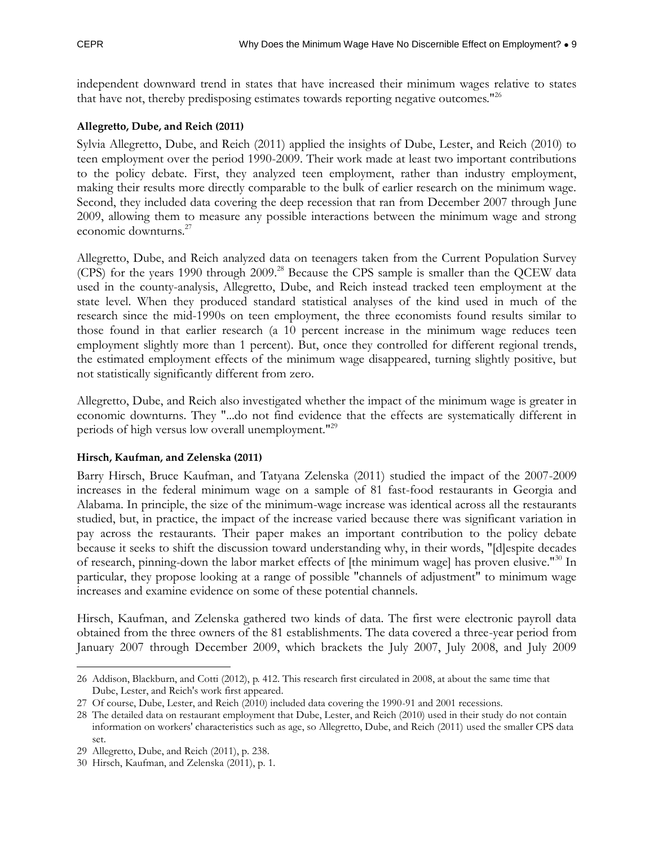independent downward trend in states that have increased their minimum wages relative to states that have not, thereby predisposing estimates towards reporting negative outcomes.<sup>"26</sup>

#### <span id="page-10-0"></span>**Allegretto, Dube, and Reich (2011)**

Sylvia Allegretto, Dube, and Reich (2011) applied the insights of Dube, Lester, and Reich (2010) to teen employment over the period 1990-2009. Their work made at least two important contributions to the policy debate. First, they analyzed teen employment, rather than industry employment, making their results more directly comparable to the bulk of earlier research on the minimum wage. Second, they included data covering the deep recession that ran from December 2007 through June 2009, allowing them to measure any possible interactions between the minimum wage and strong economic downturns.<sup>27</sup>

Allegretto, Dube, and Reich analyzed data on teenagers taken from the Current Population Survey (CPS) for the years 1990 through 2009.<sup>28</sup> Because the CPS sample is smaller than the QCEW data used in the county-analysis, Allegretto, Dube, and Reich instead tracked teen employment at the state level. When they produced standard statistical analyses of the kind used in much of the research since the mid-1990s on teen employment, the three economists found results similar to those found in that earlier research (a 10 percent increase in the minimum wage reduces teen employment slightly more than 1 percent). But, once they controlled for different regional trends, the estimated employment effects of the minimum wage disappeared, turning slightly positive, but not statistically significantly different from zero.

Allegretto, Dube, and Reich also investigated whether the impact of the minimum wage is greater in economic downturns. They "...do not find evidence that the effects are systematically different in periods of high versus low overall unemployment."<sup>29</sup>

#### <span id="page-10-1"></span>**Hirsch, Kaufman, and Zelenska (2011)**

Barry Hirsch, Bruce Kaufman, and Tatyana Zelenska (2011) studied the impact of the 2007-2009 increases in the federal minimum wage on a sample of 81 fast-food restaurants in Georgia and Alabama. In principle, the size of the minimum-wage increase was identical across all the restaurants studied, but, in practice, the impact of the increase varied because there was significant variation in pay across the restaurants. Their paper makes an important contribution to the policy debate because it seeks to shift the discussion toward understanding why, in their words, "[d]espite decades of research, pinning-down the labor market effects of [the minimum wage] has proven elusive."<sup>30</sup> In particular, they propose looking at a range of possible "channels of adjustment" to minimum wage increases and examine evidence on some of these potential channels.

Hirsch, Kaufman, and Zelenska gathered two kinds of data. The first were electronic payroll data obtained from the three owners of the 81 establishments. The data covered a three-year period from January 2007 through December 2009, which brackets the July 2007, July 2008, and July 2009

<sup>26</sup> Addison, Blackburn, and Cotti (2012), p. 412. This research first circulated in 2008, at about the same time that Dube, Lester, and Reich's work first appeared.

<sup>27</sup> Of course, Dube, Lester, and Reich (2010) included data covering the 1990-91 and 2001 recessions.

<sup>28</sup> The detailed data on restaurant employment that Dube, Lester, and Reich (2010) used in their study do not contain information on workers' characteristics such as age, so Allegretto, Dube, and Reich (2011) used the smaller CPS data set.

<sup>29</sup> Allegretto, Dube, and Reich (2011), p. 238.

<sup>30</sup> Hirsch, Kaufman, and Zelenska (2011), p. 1.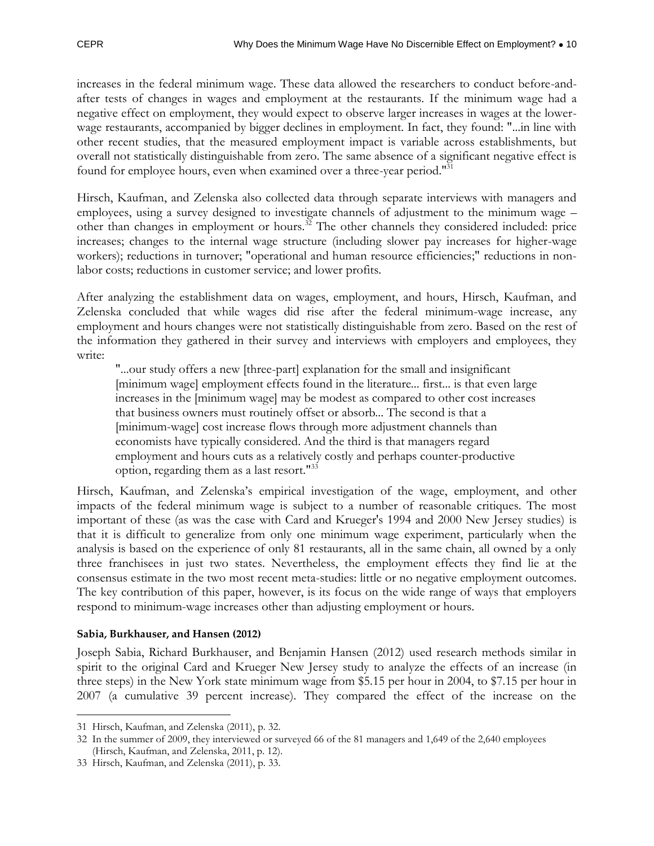increases in the federal minimum wage. These data allowed the researchers to conduct before-andafter tests of changes in wages and employment at the restaurants. If the minimum wage had a negative effect on employment, they would expect to observe larger increases in wages at the lowerwage restaurants, accompanied by bigger declines in employment. In fact, they found: "...in line with other recent studies, that the measured employment impact is variable across establishments, but overall not statistically distinguishable from zero. The same absence of a significant negative effect is found for employee hours, even when examined over a three-year period."<sup>31</sup>

Hirsch, Kaufman, and Zelenska also collected data through separate interviews with managers and employees, using a survey designed to investigate channels of adjustment to the minimum wage – other than changes in employment or hours.<sup>32</sup> The other channels they considered included: price increases; changes to the internal wage structure (including slower pay increases for higher-wage workers); reductions in turnover; "operational and human resource efficiencies;" reductions in nonlabor costs; reductions in customer service; and lower profits.

After analyzing the establishment data on wages, employment, and hours, Hirsch, Kaufman, and Zelenska concluded that while wages did rise after the federal minimum-wage increase, any employment and hours changes were not statistically distinguishable from zero. Based on the rest of the information they gathered in their survey and interviews with employers and employees, they write:

"...our study offers a new [three-part] explanation for the small and insignificant [minimum wage] employment effects found in the literature... first... is that even large increases in the [minimum wage] may be modest as compared to other cost increases that business owners must routinely offset or absorb... The second is that a [minimum-wage] cost increase flows through more adjustment channels than economists have typically considered. And the third is that managers regard employment and hours cuts as a relatively costly and perhaps counter-productive option, regarding them as a last resort."<sup>33</sup>

Hirsch, Kaufman, and Zelenska's empirical investigation of the wage, employment, and other impacts of the federal minimum wage is subject to a number of reasonable critiques. The most important of these (as was the case with Card and Krueger's 1994 and 2000 New Jersey studies) is that it is difficult to generalize from only one minimum wage experiment, particularly when the analysis is based on the experience of only 81 restaurants, all in the same chain, all owned by a only three franchisees in just two states. Nevertheless, the employment effects they find lie at the consensus estimate in the two most recent meta-studies: little or no negative employment outcomes. The key contribution of this paper, however, is its focus on the wide range of ways that employers respond to minimum-wage increases other than adjusting employment or hours.

#### <span id="page-11-0"></span>**Sabia, Burkhauser, and Hansen (2012)**

Joseph Sabia, Richard Burkhauser, and Benjamin Hansen (2012) used research methods similar in spirit to the original Card and Krueger New Jersey study to analyze the effects of an increase (in three steps) in the New York state minimum wage from \$5.15 per hour in 2004, to \$7.15 per hour in 2007 (a cumulative 39 percent increase). They compared the effect of the increase on the

<sup>31</sup> Hirsch, Kaufman, and Zelenska (2011), p. 32.

<sup>32</sup> In the summer of 2009, they interviewed or surveyed 66 of the 81 managers and 1,649 of the 2,640 employees (Hirsch, Kaufman, and Zelenska, 2011, p. 12).

<sup>33</sup> Hirsch, Kaufman, and Zelenska (2011), p. 33.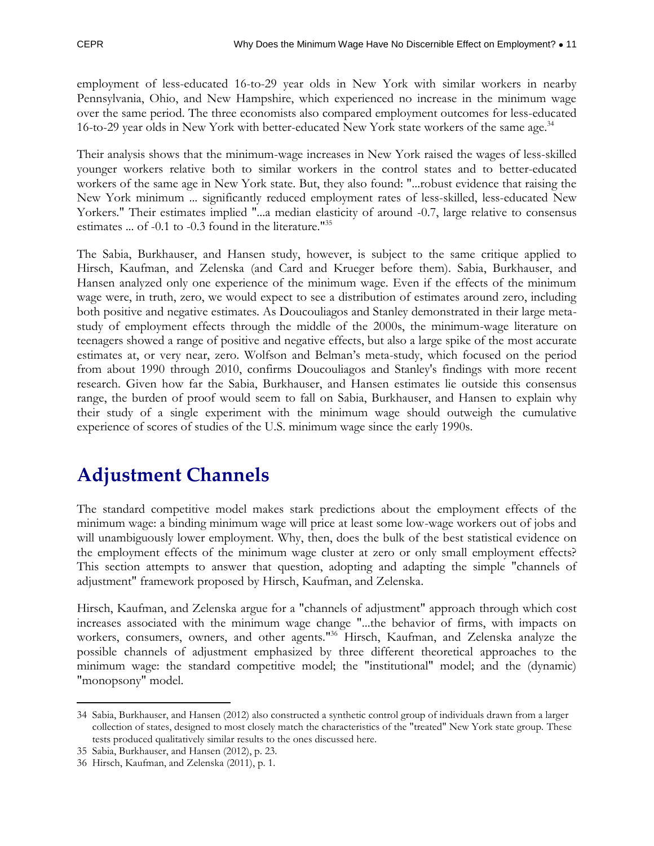employment of less-educated 16-to-29 year olds in New York with similar workers in nearby Pennsylvania, Ohio, and New Hampshire, which experienced no increase in the minimum wage over the same period. The three economists also compared employment outcomes for less-educated 16-to-29 year olds in New York with better-educated New York state workers of the same age.<sup>34</sup>

Their analysis shows that the minimum-wage increases in New York raised the wages of less-skilled younger workers relative both to similar workers in the control states and to better-educated workers of the same age in New York state. But, they also found: "...robust evidence that raising the New York minimum ... significantly reduced employment rates of less-skilled, less-educated New Yorkers." Their estimates implied "...a median elasticity of around -0.7, large relative to consensus estimates ... of -0.1 to -0.3 found in the literature.<sup>135</sup>

The Sabia, Burkhauser, and Hansen study, however, is subject to the same critique applied to Hirsch, Kaufman, and Zelenska (and Card and Krueger before them). Sabia, Burkhauser, and Hansen analyzed only one experience of the minimum wage. Even if the effects of the minimum wage were, in truth, zero, we would expect to see a distribution of estimates around zero, including both positive and negative estimates. As Doucouliagos and Stanley demonstrated in their large metastudy of employment effects through the middle of the 2000s, the minimum-wage literature on teenagers showed a range of positive and negative effects, but also a large spike of the most accurate estimates at, or very near, zero. Wolfson and Belman's meta-study, which focused on the period from about 1990 through 2010, confirms Doucouliagos and Stanley's findings with more recent research. Given how far the Sabia, Burkhauser, and Hansen estimates lie outside this consensus range, the burden of proof would seem to fall on Sabia, Burkhauser, and Hansen to explain why their study of a single experiment with the minimum wage should outweigh the cumulative experience of scores of studies of the U.S. minimum wage since the early 1990s.

# <span id="page-12-0"></span>**Adjustment Channels**

The standard competitive model makes stark predictions about the employment effects of the minimum wage: a binding minimum wage will price at least some low-wage workers out of jobs and will unambiguously lower employment. Why, then, does the bulk of the best statistical evidence on the employment effects of the minimum wage cluster at zero or only small employment effects? This section attempts to answer that question, adopting and adapting the simple "channels of adjustment" framework proposed by Hirsch, Kaufman, and Zelenska.

Hirsch, Kaufman, and Zelenska argue for a "channels of adjustment" approach through which cost increases associated with the minimum wage change "...the behavior of firms, with impacts on workers, consumers, owners, and other agents." <sup>36</sup> Hirsch, Kaufman, and Zelenska analyze the possible channels of adjustment emphasized by three different theoretical approaches to the minimum wage: the standard competitive model; the "institutional" model; and the (dynamic) "monopsony" model.

 $\overline{a}$ 34 Sabia, Burkhauser, and Hansen (2012) also constructed a synthetic control group of individuals drawn from a larger collection of states, designed to most closely match the characteristics of the "treated" New York state group. These tests produced qualitatively similar results to the ones discussed here.

<sup>35</sup> Sabia, Burkhauser, and Hansen (2012), p. 23.

<sup>36</sup> Hirsch, Kaufman, and Zelenska (2011), p. 1.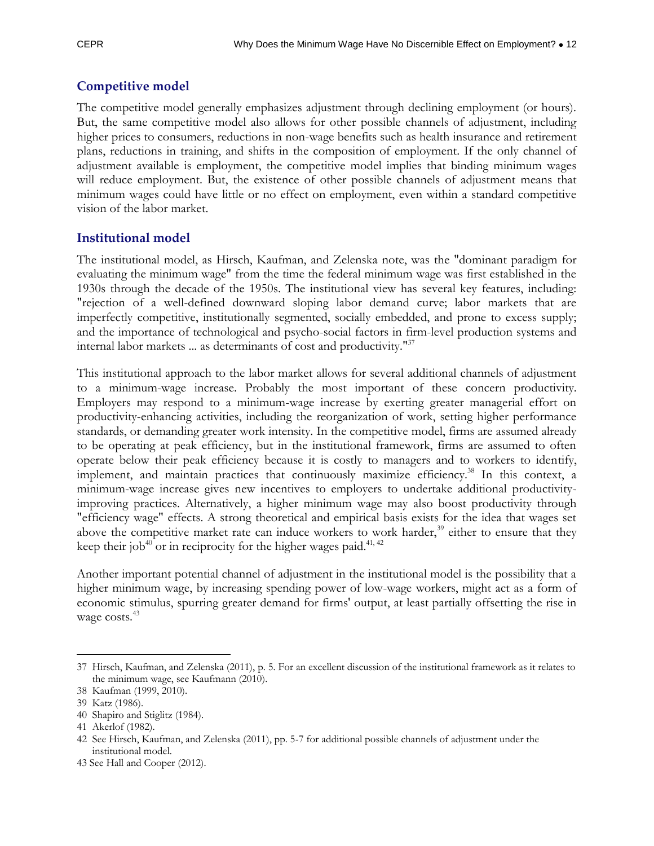#### <span id="page-13-0"></span>**Competitive model**

The competitive model generally emphasizes adjustment through declining employment (or hours). But, the same competitive model also allows for other possible channels of adjustment, including higher prices to consumers, reductions in non-wage benefits such as health insurance and retirement plans, reductions in training, and shifts in the composition of employment. If the only channel of adjustment available is employment, the competitive model implies that binding minimum wages will reduce employment. But, the existence of other possible channels of adjustment means that minimum wages could have little or no effect on employment, even within a standard competitive vision of the labor market.

#### <span id="page-13-1"></span>**Institutional model**

The institutional model, as Hirsch, Kaufman, and Zelenska note, was the "dominant paradigm for evaluating the minimum wage" from the time the federal minimum wage was first established in the 1930s through the decade of the 1950s. The institutional view has several key features, including: "rejection of a well-defined downward sloping labor demand curve; labor markets that are imperfectly competitive, institutionally segmented, socially embedded, and prone to excess supply; and the importance of technological and psycho-social factors in firm-level production systems and internal labor markets ... as determinants of cost and productivity."<sup>37</sup>

This institutional approach to the labor market allows for several additional channels of adjustment to a minimum-wage increase. Probably the most important of these concern productivity. Employers may respond to a minimum-wage increase by exerting greater managerial effort on productivity-enhancing activities, including the reorganization of work, setting higher performance standards, or demanding greater work intensity. In the competitive model, firms are assumed already to be operating at peak efficiency, but in the institutional framework, firms are assumed to often operate below their peak efficiency because it is costly to managers and to workers to identify, implement, and maintain practices that continuously maximize efficiency. <sup>38</sup> In this context, a minimum-wage increase gives new incentives to employers to undertake additional productivityimproving practices. Alternatively, a higher minimum wage may also boost productivity through "efficiency wage" effects. A strong theoretical and empirical basis exists for the idea that wages set above the competitive market rate can induce workers to work harder,<sup>39</sup> either to ensure that they keep their job<sup>40</sup> or in reciprocity for the higher wages paid.<sup>41, 42</sup>

Another important potential channel of adjustment in the institutional model is the possibility that a higher minimum wage, by increasing spending power of low-wage workers, might act as a form of economic stimulus, spurring greater demand for firms' output, at least partially offsetting the rise in wage costs.<sup>43</sup>

 $\overline{a}$ 37 Hirsch, Kaufman, and Zelenska (2011), p. 5. For an excellent discussion of the institutional framework as it relates to the minimum wage, see Kaufmann (2010).

<sup>38</sup> Kaufman (1999, 2010).

<sup>39</sup> Katz (1986).

<sup>40</sup> Shapiro and Stiglitz (1984).

<sup>41</sup> Akerlof (1982).

<sup>42</sup> See Hirsch, Kaufman, and Zelenska (2011), pp. 5-7 for additional possible channels of adjustment under the institutional model.

<sup>43</sup> See Hall and Cooper (2012).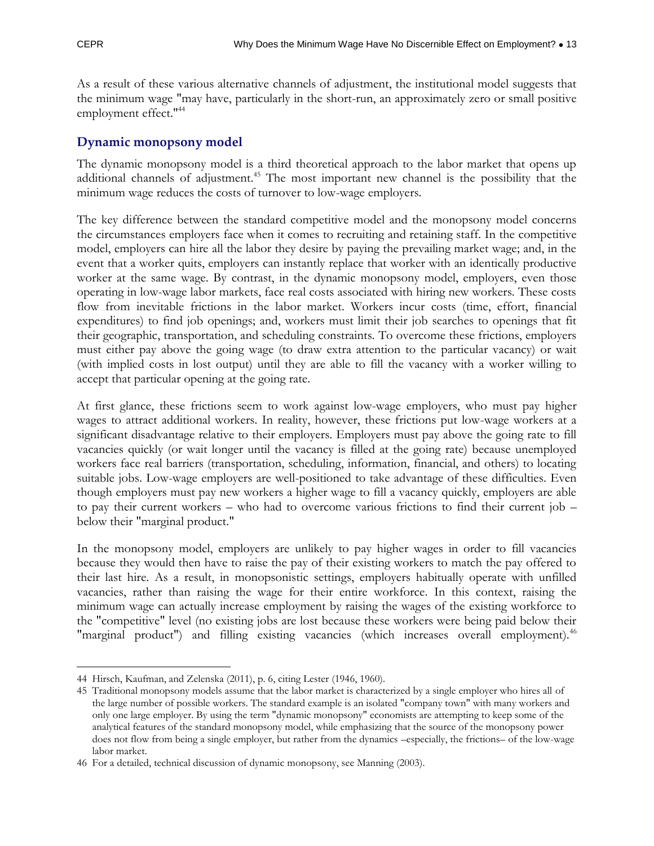As a result of these various alternative channels of adjustment, the institutional model suggests that the minimum wage "may have, particularly in the short-run, an approximately zero or small positive employment effect."<sup>44</sup>

#### <span id="page-14-0"></span>**Dynamic monopsony model**

The dynamic monopsony model is a third theoretical approach to the labor market that opens up additional channels of adjustment.<sup>45</sup> The most important new channel is the possibility that the minimum wage reduces the costs of turnover to low-wage employers.

The key difference between the standard competitive model and the monopsony model concerns the circumstances employers face when it comes to recruiting and retaining staff. In the competitive model, employers can hire all the labor they desire by paying the prevailing market wage; and, in the event that a worker quits, employers can instantly replace that worker with an identically productive worker at the same wage. By contrast, in the dynamic monopsony model, employers, even those operating in low-wage labor markets, face real costs associated with hiring new workers. These costs flow from inevitable frictions in the labor market. Workers incur costs (time, effort, financial expenditures) to find job openings; and, workers must limit their job searches to openings that fit their geographic, transportation, and scheduling constraints. To overcome these frictions, employers must either pay above the going wage (to draw extra attention to the particular vacancy) or wait (with implied costs in lost output) until they are able to fill the vacancy with a worker willing to accept that particular opening at the going rate.

At first glance, these frictions seem to work against low-wage employers, who must pay higher wages to attract additional workers. In reality, however, these frictions put low-wage workers at a significant disadvantage relative to their employers. Employers must pay above the going rate to fill vacancies quickly (or wait longer until the vacancy is filled at the going rate) because unemployed workers face real barriers (transportation, scheduling, information, financial, and others) to locating suitable jobs. Low-wage employers are well-positioned to take advantage of these difficulties. Even though employers must pay new workers a higher wage to fill a vacancy quickly, employers are able to pay their current workers – who had to overcome various frictions to find their current job – below their "marginal product."

In the monopsony model, employers are unlikely to pay higher wages in order to fill vacancies because they would then have to raise the pay of their existing workers to match the pay offered to their last hire. As a result, in monopsonistic settings, employers habitually operate with unfilled vacancies, rather than raising the wage for their entire workforce. In this context, raising the minimum wage can actually increase employment by raising the wages of the existing workforce to the "competitive" level (no existing jobs are lost because these workers were being paid below their "marginal product") and filling existing vacancies (which increases overall employment).<sup>46</sup>

 $\overline{a}$ 44 Hirsch, Kaufman, and Zelenska (2011), p. 6, citing Lester (1946, 1960).

<sup>45</sup> Traditional monopsony models assume that the labor market is characterized by a single employer who hires all of the large number of possible workers. The standard example is an isolated "company town" with many workers and only one large employer. By using the term "dynamic monopsony" economists are attempting to keep some of the analytical features of the standard monopsony model, while emphasizing that the source of the monopsony power does not flow from being a single employer, but rather from the dynamics –especially, the frictions– of the low-wage labor market.

<sup>46</sup> For a detailed, technical discussion of dynamic monopsony, see Manning (2003).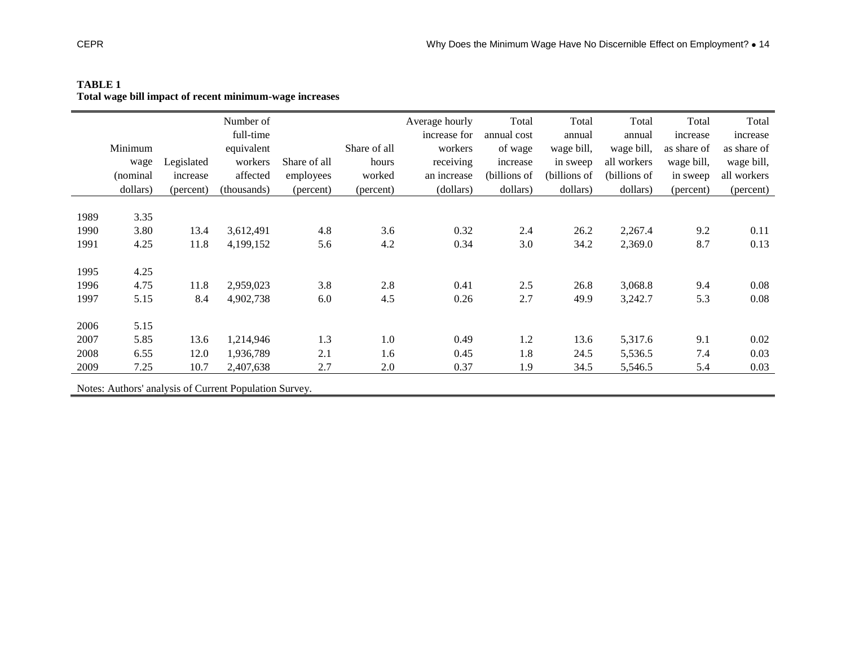|      |           |            | Number of   |              |              | Average hourly | Total        | Total        | Total        | Total       | Total       |
|------|-----------|------------|-------------|--------------|--------------|----------------|--------------|--------------|--------------|-------------|-------------|
|      |           |            | full-time   |              |              | increase for   | annual cost  | annual       | annual       | increase    | increase    |
|      | Minimum   |            | equivalent  |              | Share of all | workers        | of wage      | wage bill,   | wage bill,   | as share of | as share of |
|      | wage      | Legislated | workers     | Share of all | hours        | receiving      | increase     | in sweep     | all workers  | wage bill,  | wage bill,  |
|      | (nominal) | increase   | affected    | employees    | worked       | an increase    | (billions of | (billions of | (billions of | in sweep    | all workers |
|      | dollars)  | (percent)  | (thousands) | (percent)    | (percent)    | (dollars)      | dollars)     | dollars)     | dollars)     | (percent)   | (percent)   |
|      |           |            |             |              |              |                |              |              |              |             |             |
| 1989 | 3.35      |            |             |              |              |                |              |              |              |             |             |
| 1990 | 3.80      | 13.4       | 3,612,491   | 4.8          | 3.6          | 0.32           | 2.4          | 26.2         | 2,267.4      | 9.2         | 0.11        |
| 1991 | 4.25      | 11.8       | 4,199,152   | 5.6          | 4.2          | 0.34           | 3.0          | 34.2         | 2,369.0      | 8.7         | 0.13        |
|      |           |            |             |              |              |                |              |              |              |             |             |
| 1995 | 4.25      |            |             |              |              |                |              |              |              |             |             |
| 1996 | 4.75      | 11.8       | 2,959,023   | 3.8          | 2.8          | 0.41           | 2.5          | 26.8         | 3,068.8      | 9.4         | 0.08        |
| 1997 | 5.15      | 8.4        | 4,902,738   | 6.0          | 4.5          | 0.26           | 2.7          | 49.9         | 3,242.7      | 5.3         | 0.08        |
|      |           |            |             |              |              |                |              |              |              |             |             |
| 2006 | 5.15      |            |             |              |              |                |              |              |              |             |             |
| 2007 | 5.85      | 13.6       | 1,214,946   | 1.3          | 1.0          | 0.49           | 1.2          | 13.6         | 5,317.6      | 9.1         | 0.02        |
| 2008 | 6.55      | 12.0       | 1,936,789   | 2.1          | 1.6          | 0.45           | 1.8          | 24.5         | 5,536.5      | 7.4         | 0.03        |
| 2009 | 7.25      | 10.7       | 2,407,638   | 2.7          | 2.0          | 0.37           | 1.9          | 34.5         | 5,546.5      | 5.4         | 0.03        |
|      |           |            |             |              |              |                |              |              |              |             |             |

#### **TABLE 1 Total wage bill impact of recent minimum-wage increases**

Notes: Authors' analysis of Current Population Survey.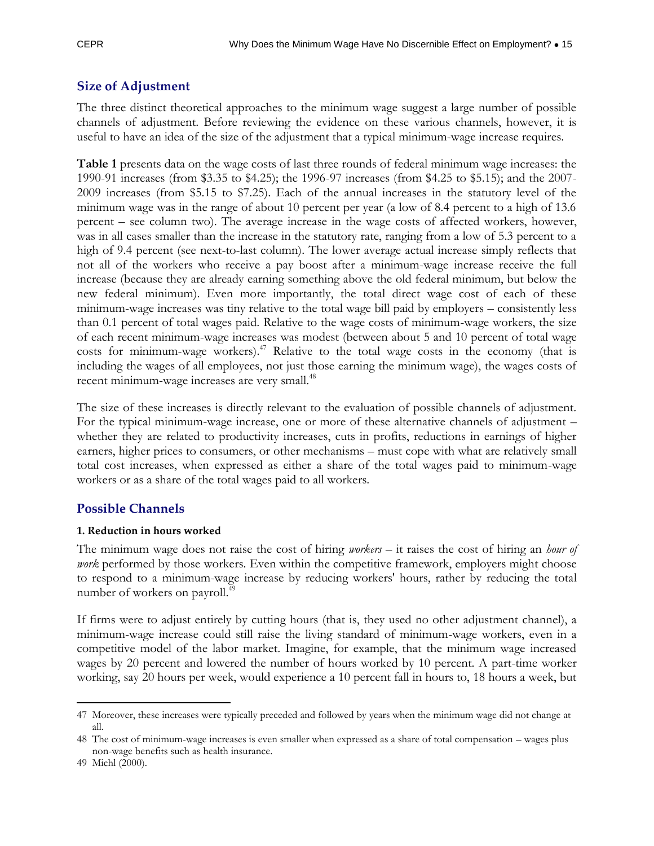#### <span id="page-16-0"></span>**Size of Adjustment**

The three distinct theoretical approaches to the minimum wage suggest a large number of possible channels of adjustment. Before reviewing the evidence on these various channels, however, it is useful to have an idea of the size of the adjustment that a typical minimum-wage increase requires.

**Table 1** presents data on the wage costs of last three rounds of federal minimum wage increases: the 1990-91 increases (from \$3.35 to \$4.25); the 1996-97 increases (from \$4.25 to \$5.15); and the 2007- 2009 increases (from \$5.15 to \$7.25). Each of the annual increases in the statutory level of the minimum wage was in the range of about 10 percent per year (a low of 8.4 percent to a high of 13.6 percent – see column two). The average increase in the wage costs of affected workers, however, was in all cases smaller than the increase in the statutory rate, ranging from a low of 5.3 percent to a high of 9.4 percent (see next-to-last column). The lower average actual increase simply reflects that not all of the workers who receive a pay boost after a minimum-wage increase receive the full increase (because they are already earning something above the old federal minimum, but below the new federal minimum). Even more importantly, the total direct wage cost of each of these minimum-wage increases was tiny relative to the total wage bill paid by employers – consistently less than 0.1 percent of total wages paid. Relative to the wage costs of minimum-wage workers, the size of each recent minimum-wage increases was modest (between about 5 and 10 percent of total wage costs for minimum-wage workers).<sup>47</sup> Relative to the total wage costs in the economy (that is including the wages of all employees, not just those earning the minimum wage), the wages costs of recent minimum-wage increases are very small.<sup>48</sup>

The size of these increases is directly relevant to the evaluation of possible channels of adjustment. For the typical minimum-wage increase, one or more of these alternative channels of adjustment – whether they are related to productivity increases, cuts in profits, reductions in earnings of higher earners, higher prices to consumers, or other mechanisms – must cope with what are relatively small total cost increases, when expressed as either a share of the total wages paid to minimum-wage workers or as a share of the total wages paid to all workers.

#### <span id="page-16-1"></span>**Possible Channels**

#### <span id="page-16-2"></span>**1. Reduction in hours worked**

The minimum wage does not raise the cost of hiring *workers* – it raises the cost of hiring an *hour of work* performed by those workers. Even within the competitive framework, employers might choose to respond to a minimum-wage increase by reducing workers' hours, rather by reducing the total number of workers on payroll.<sup>49</sup>

If firms were to adjust entirely by cutting hours (that is, they used no other adjustment channel), a minimum-wage increase could still raise the living standard of minimum-wage workers, even in a competitive model of the labor market. Imagine, for example, that the minimum wage increased wages by 20 percent and lowered the number of hours worked by 10 percent. A part-time worker working, say 20 hours per week, would experience a 10 percent fall in hours to, 18 hours a week, but

 $\overline{a}$ 47 Moreover, these increases were typically preceded and followed by years when the minimum wage did not change at all.

<sup>48</sup> The cost of minimum-wage increases is even smaller when expressed as a share of total compensation – wages plus non-wage benefits such as health insurance.

<sup>49</sup> Michl (2000).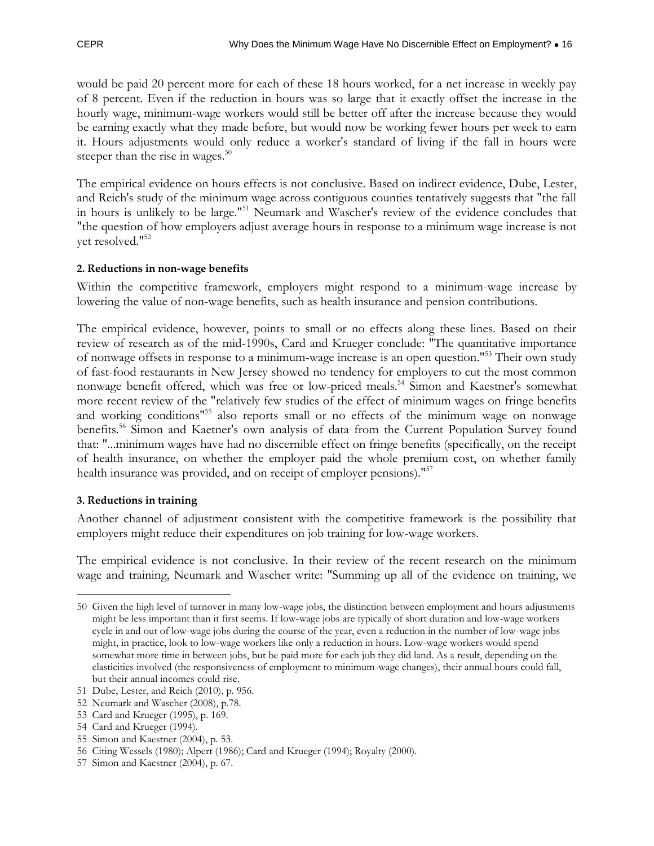would be paid 20 percent more for each of these 18 hours worked, for a net increase in weekly pay of 8 percent. Even if the reduction in hours was so large that it exactly offset the increase in the hourly wage, minimum-wage workers would still be better off after the increase because they would be earning exactly what they made before, but would now be working fewer hours per week to earn it. Hours adjustments would only reduce a worker's standard of living if the fall in hours were steeper than the rise in wages. $50$ 

The empirical evidence on hours effects is not conclusive. Based on indirect evidence, Dube, Lester, and Reich's study of the minimum wage across contiguous counties tentatively suggests that "the fall in hours is unlikely to be large."<sup>51</sup> Neumark and Wascher's review of the evidence concludes that "the question of how employers adjust average hours in response to a minimum wage increase is not yet resolved."<sup>52</sup>

#### <span id="page-17-0"></span>**2. Reductions in non-wage benefits**

Within the competitive framework, employers might respond to a minimum-wage increase by lowering the value of non-wage benefits, such as health insurance and pension contributions.

The empirical evidence, however, points to small or no effects along these lines. Based on their review of research as of the mid-1990s, Card and Krueger conclude: "The quantitative importance of nonwage offsets in response to a minimum-wage increase is an open question."<sup>53</sup> Their own study of fast-food restaurants in New Jersey showed no tendency for employers to cut the most common nonwage benefit offered, which was free or low-priced meals. <sup>54</sup> Simon and Kaestner's somewhat more recent review of the "relatively few studies of the effect of minimum wages on fringe benefits and working conditions<sup>"55</sup> also reports small or no effects of the minimum wage on nonwage benefits.<sup>56</sup> Simon and Kaetner's own analysis of data from the Current Population Survey found that: "...minimum wages have had no discernible effect on fringe benefits (specifically, on the receipt of health insurance, on whether the employer paid the whole premium cost, on whether family health insurance was provided, and on receipt of employer pensions).<sup>"57</sup>

#### <span id="page-17-1"></span>**3. Reductions in training**

 $\overline{a}$ 

Another channel of adjustment consistent with the competitive framework is the possibility that employers might reduce their expenditures on job training for low-wage workers.

The empirical evidence is not conclusive. In their review of the recent research on the minimum wage and training, Neumark and Wascher write: "Summing up all of the evidence on training, we

<sup>50</sup> Given the high level of turnover in many low-wage jobs, the distinction between employment and hours adjustments might be less important than it first seems. If low-wage jobs are typically of short duration and low-wage workers cycle in and out of low-wage jobs during the course of the year, even a reduction in the number of low-wage jobs might, in practice, look to low-wage workers like only a reduction in hours. Low-wage workers would spend somewhat more time in between jobs, but be paid more for each job they did land. As a result, depending on the elasticities involved (the responsiveness of employment to minimum-wage changes), their annual hours could fall, but their annual incomes could rise.

<sup>51</sup> Dube, Lester, and Reich (2010), p. 956.

<sup>52</sup> Neumark and Wascher (2008), p.78.

<sup>53</sup> Card and Krueger (1995), p. 169.

<sup>54</sup> Card and Krueger (1994).

<sup>55</sup> Simon and Kaestner (2004), p. 53.

<sup>56</sup> Citing Wessels (1980); Alpert (1986); Card and Krueger (1994); Royalty (2000).

<sup>57</sup> Simon and Kaestner (2004), p. 67.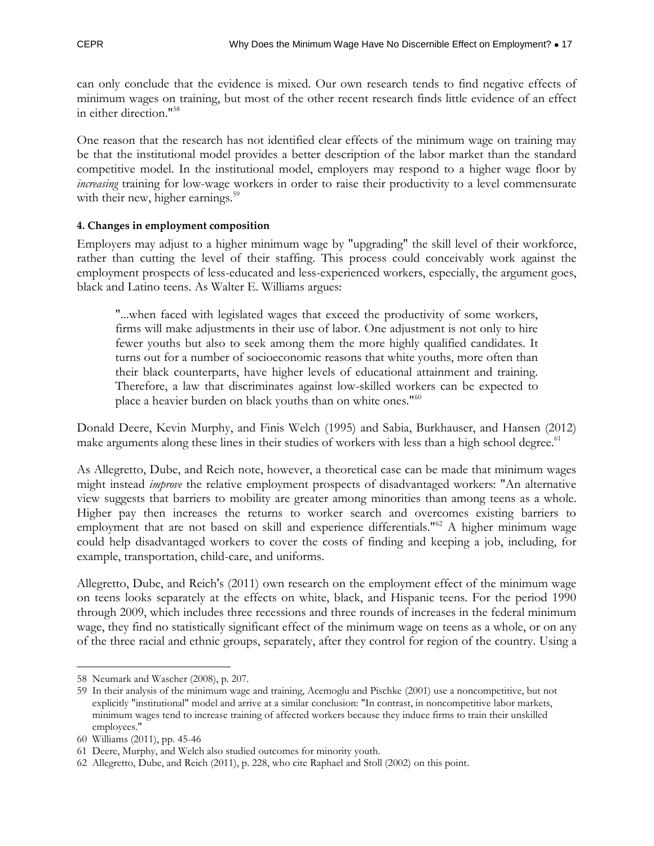can only conclude that the evidence is mixed. Our own research tends to find negative effects of minimum wages on training, but most of the other recent research finds little evidence of an effect in either direction."<sup>58</sup>

One reason that the research has not identified clear effects of the minimum wage on training may be that the institutional model provides a better description of the labor market than the standard competitive model. In the institutional model, employers may respond to a higher wage floor by *increasing* training for low-wage workers in order to raise their productivity to a level commensurate with their new, higher earnings.<sup>59</sup>

#### <span id="page-18-0"></span>**4. Changes in employment composition**

Employers may adjust to a higher minimum wage by "upgrading" the skill level of their workforce, rather than cutting the level of their staffing. This process could conceivably work against the employment prospects of less-educated and less-experienced workers, especially, the argument goes, black and Latino teens. As Walter E. Williams argues:

"...when faced with legislated wages that exceed the productivity of some workers, firms will make adjustments in their use of labor. One adjustment is not only to hire fewer youths but also to seek among them the more highly qualified candidates. It turns out for a number of socioeconomic reasons that white youths, more often than their black counterparts, have higher levels of educational attainment and training. Therefore, a law that discriminates against low-skilled workers can be expected to place a heavier burden on black youths than on white ones."<sup>60</sup>

Donald Deere, Kevin Murphy, and Finis Welch (1995) and Sabia, Burkhauser, and Hansen (2012) make arguments along these lines in their studies of workers with less than a high school degree.<sup>61</sup>

As Allegretto, Dube, and Reich note, however, a theoretical case can be made that minimum wages might instead *improve* the relative employment prospects of disadvantaged workers: "An alternative view suggests that barriers to mobility are greater among minorities than among teens as a whole. Higher pay then increases the returns to worker search and overcomes existing barriers to employment that are not based on skill and experience differentials."<sup>62</sup> A higher minimum wage could help disadvantaged workers to cover the costs of finding and keeping a job, including, for example, transportation, child-care, and uniforms.

Allegretto, Dube, and Reich's (2011) own research on the employment effect of the minimum wage on teens looks separately at the effects on white, black, and Hispanic teens. For the period 1990 through 2009, which includes three recessions and three rounds of increases in the federal minimum wage, they find no statistically significant effect of the minimum wage on teens as a whole, or on any of the three racial and ethnic groups, separately, after they control for region of the country. Using a

 $\overline{a}$ 58 Neumark and Wascher (2008), p. 207.

<sup>59</sup> In their analysis of the minimum wage and training, Acemoglu and Pischke (2001) use a noncompetitive, but not explicitly "institutional" model and arrive at a similar conclusion: "In contrast, in noncompetitive labor markets, minimum wages tend to increase training of affected workers because they induce firms to train their unskilled employees."

<sup>60</sup> Williams (2011), pp. 45-46

<sup>61</sup> Deere, Murphy, and Welch also studied outcomes for minority youth.

<sup>62</sup> Allegretto, Dube, and Reich (2011), p. 228, who cite Raphael and Stoll (2002) on this point.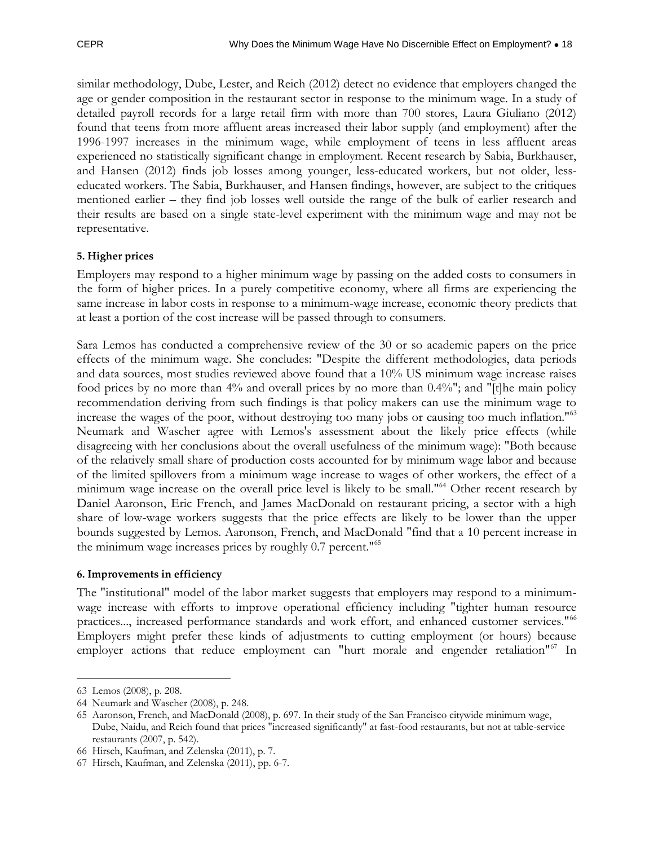similar methodology, Dube, Lester, and Reich (2012) detect no evidence that employers changed the age or gender composition in the restaurant sector in response to the minimum wage. In a study of detailed payroll records for a large retail firm with more than 700 stores, Laura Giuliano (2012) found that teens from more affluent areas increased their labor supply (and employment) after the 1996-1997 increases in the minimum wage, while employment of teens in less affluent areas experienced no statistically significant change in employment. Recent research by Sabia, Burkhauser, and Hansen (2012) finds job losses among younger, less-educated workers, but not older, lesseducated workers. The Sabia, Burkhauser, and Hansen findings, however, are subject to the critiques mentioned earlier – they find job losses well outside the range of the bulk of earlier research and their results are based on a single state-level experiment with the minimum wage and may not be representative.

#### <span id="page-19-0"></span>**5. Higher prices**

Employers may respond to a higher minimum wage by passing on the added costs to consumers in the form of higher prices. In a purely competitive economy, where all firms are experiencing the same increase in labor costs in response to a minimum-wage increase, economic theory predicts that at least a portion of the cost increase will be passed through to consumers.

Sara Lemos has conducted a comprehensive review of the 30 or so academic papers on the price effects of the minimum wage. She concludes: "Despite the different methodologies, data periods and data sources, most studies reviewed above found that a 10% US minimum wage increase raises food prices by no more than 4% and overall prices by no more than 0.4%"; and "[t]he main policy recommendation deriving from such findings is that policy makers can use the minimum wage to increase the wages of the poor, without destroying too many jobs or causing too much inflation."<sup>63</sup> Neumark and Wascher agree with Lemos's assessment about the likely price effects (while disagreeing with her conclusions about the overall usefulness of the minimum wage): "Both because of the relatively small share of production costs accounted for by minimum wage labor and because of the limited spillovers from a minimum wage increase to wages of other workers, the effect of a minimum wage increase on the overall price level is likely to be small."<sup>64</sup> Other recent research by Daniel Aaronson, Eric French, and James MacDonald on restaurant pricing, a sector with a high share of low-wage workers suggests that the price effects are likely to be lower than the upper bounds suggested by Lemos. Aaronson, French, and MacDonald "find that a 10 percent increase in the minimum wage increases prices by roughly 0.7 percent."<sup>65</sup>

#### <span id="page-19-1"></span>**6. Improvements in efficiency**

The "institutional" model of the labor market suggests that employers may respond to a minimumwage increase with efforts to improve operational efficiency including "tighter human resource practices..., increased performance standards and work effort, and enhanced customer services."<sup>66</sup> Employers might prefer these kinds of adjustments to cutting employment (or hours) because employer actions that reduce employment can "hurt morale and engender retaliation"<sup>67</sup> In

<sup>63</sup> Lemos (2008), p. 208.

<sup>64</sup> Neumark and Wascher (2008), p. 248.

<sup>65</sup> Aaronson, French, and MacDonald (2008), p. 697. In their study of the San Francisco citywide minimum wage, Dube, Naidu, and Reich found that prices "increased significantly" at fast-food restaurants, but not at table-service restaurants (2007, p. 542).

<sup>66</sup> Hirsch, Kaufman, and Zelenska (2011), p. 7.

<sup>67</sup> Hirsch, Kaufman, and Zelenska (2011), pp. 6-7.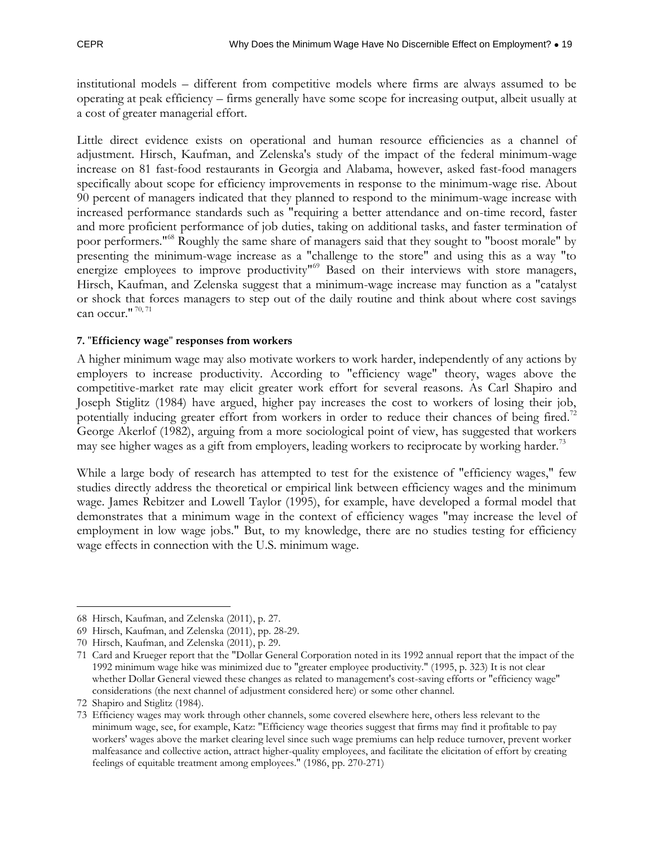institutional models – different from competitive models where firms are always assumed to be operating at peak efficiency – firms generally have some scope for increasing output, albeit usually at a cost of greater managerial effort.

Little direct evidence exists on operational and human resource efficiencies as a channel of adjustment. Hirsch, Kaufman, and Zelenska's study of the impact of the federal minimum-wage increase on 81 fast-food restaurants in Georgia and Alabama, however, asked fast-food managers specifically about scope for efficiency improvements in response to the minimum-wage rise. About 90 percent of managers indicated that they planned to respond to the minimum-wage increase with increased performance standards such as "requiring a better attendance and on-time record, faster and more proficient performance of job duties, taking on additional tasks, and faster termination of poor performers."<sup>68</sup> Roughly the same share of managers said that they sought to "boost morale" by presenting the minimum-wage increase as a "challenge to the store" and using this as a way "to energize employees to improve productivity<sup>"69</sup> Based on their interviews with store managers, Hirsch, Kaufman, and Zelenska suggest that a minimum-wage increase may function as a "catalyst or shock that forces managers to step out of the daily routine and think about where cost savings can occur." $70, 71$ 

#### <span id="page-20-0"></span>**7. "Efficiency wage" responses from workers**

A higher minimum wage may also motivate workers to work harder, independently of any actions by employers to increase productivity. According to "efficiency wage" theory, wages above the competitive-market rate may elicit greater work effort for several reasons. As Carl Shapiro and Joseph Stiglitz (1984) have argued, higher pay increases the cost to workers of losing their job, potentially inducing greater effort from workers in order to reduce their chances of being fired.<sup>72</sup> George Akerlof (1982), arguing from a more sociological point of view, has suggested that workers may see higher wages as a gift from employers, leading workers to reciprocate by working harder.<sup>73</sup>

While a large body of research has attempted to test for the existence of "efficiency wages," few studies directly address the theoretical or empirical link between efficiency wages and the minimum wage. James Rebitzer and Lowell Taylor (1995), for example, have developed a formal model that demonstrates that a minimum wage in the context of efficiency wages "may increase the level of employment in low wage jobs." But, to my knowledge, there are no studies testing for efficiency wage effects in connection with the U.S. minimum wage.

 $\overline{a}$ 68 Hirsch, Kaufman, and Zelenska (2011), p. 27.

<sup>69</sup> Hirsch, Kaufman, and Zelenska (2011), pp. 28-29.

<sup>70</sup> Hirsch, Kaufman, and Zelenska (2011), p. 29.

<sup>71</sup> Card and Krueger report that the "Dollar General Corporation noted in its 1992 annual report that the impact of the 1992 minimum wage hike was minimized due to "greater employee productivity." (1995, p. 323) It is not clear whether Dollar General viewed these changes as related to management's cost-saving efforts or "efficiency wage" considerations (the next channel of adjustment considered here) or some other channel.

<sup>72</sup> Shapiro and Stiglitz (1984).

<sup>73</sup> Efficiency wages may work through other channels, some covered elsewhere here, others less relevant to the minimum wage, see, for example, Katz: "Efficiency wage theories suggest that firms may find it profitable to pay workers' wages above the market clearing level since such wage premiums can help reduce turnover, prevent worker malfeasance and collective action, attract higher-quality employees, and facilitate the elicitation of effort by creating feelings of equitable treatment among employees." (1986, pp. 270-271)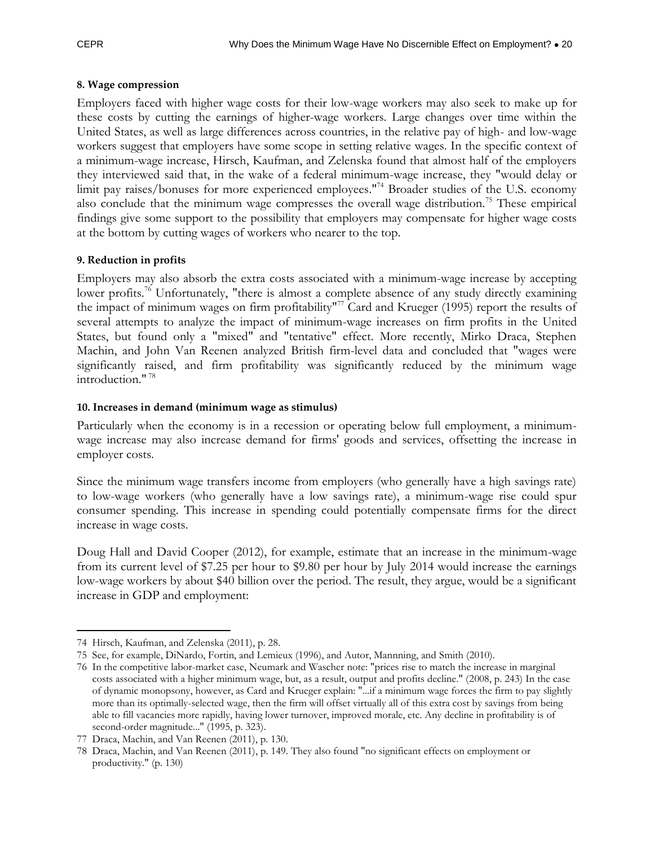#### <span id="page-21-0"></span>**8. Wage compression**

Employers faced with higher wage costs for their low-wage workers may also seek to make up for these costs by cutting the earnings of higher-wage workers. Large changes over time within the United States, as well as large differences across countries, in the relative pay of high- and low-wage workers suggest that employers have some scope in setting relative wages. In the specific context of a minimum-wage increase, Hirsch, Kaufman, and Zelenska found that almost half of the employers they interviewed said that, in the wake of a federal minimum-wage increase, they "would delay or limit pay raises/bonuses for more experienced employees." <sup>74</sup> Broader studies of the U.S. economy also conclude that the minimum wage compresses the overall wage distribution.<sup>75</sup> These empirical findings give some support to the possibility that employers may compensate for higher wage costs at the bottom by cutting wages of workers who nearer to the top.

#### <span id="page-21-1"></span>**9. Reduction in profits**

Employers may also absorb the extra costs associated with a minimum-wage increase by accepting lower profits.<sup>76</sup> Unfortunately, "there is almost a complete absence of any study directly examining the impact of minimum wages on firm profitability"<sup>77</sup> Card and Krueger (1995) report the results of several attempts to analyze the impact of minimum-wage increases on firm profits in the United States, but found only a "mixed" and "tentative" effect. More recently, Mirko Draca, Stephen Machin, and John Van Reenen analyzed British firm-level data and concluded that "wages were significantly raised, and firm profitability was significantly reduced by the minimum wage introduction." <sup>78</sup>

#### <span id="page-21-2"></span>**10. Increases in demand (minimum wage as stimulus)**

Particularly when the economy is in a recession or operating below full employment, a minimumwage increase may also increase demand for firms' goods and services, offsetting the increase in employer costs.

Since the minimum wage transfers income from employers (who generally have a high savings rate) to low-wage workers (who generally have a low savings rate), a minimum-wage rise could spur consumer spending. This increase in spending could potentially compensate firms for the direct increase in wage costs.

Doug Hall and David Cooper (2012), for example, estimate that an increase in the minimum-wage from its current level of \$7.25 per hour to \$9.80 per hour by July 2014 would increase the earnings low-wage workers by about \$40 billion over the period. The result, they argue, would be a significant increase in GDP and employment:

 $\overline{a}$ 74 Hirsch, Kaufman, and Zelenska (2011), p. 28.

<sup>75</sup> See, for example, DiNardo, Fortin, and Lemieux (1996), and Autor, Mannning, and Smith (2010).

<sup>76</sup> In the competitive labor-market case, Neumark and Wascher note: "prices rise to match the increase in marginal costs associated with a higher minimum wage, but, as a result, output and profits decline." (2008, p. 243) In the case of dynamic monopsony, however, as Card and Krueger explain: "...if a minimum wage forces the firm to pay slightly more than its optimally-selected wage, then the firm will offset virtually all of this extra cost by savings from being able to fill vacancies more rapidly, having lower turnover, improved morale, etc. Any decline in profitability is of second-order magnitude..." (1995, p. 323).

<sup>77</sup> Draca, Machin, and Van Reenen (2011), p. 130.

<sup>78</sup> Draca, Machin, and Van Reenen (2011), p. 149. They also found "no significant effects on employment or productivity." (p. 130)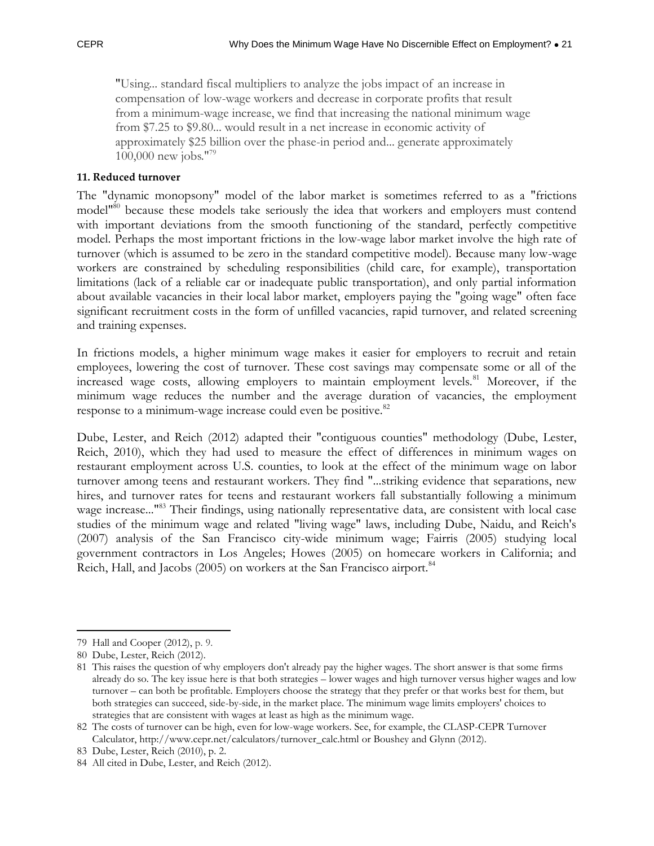"Using... standard fiscal multipliers to analyze the jobs impact of an increase in compensation of low-wage workers and decrease in corporate profits that result from a minimum-wage increase, we find that increasing the national minimum wage from \$7.25 to \$9.80... would result in a net increase in economic activity of approximately \$25 billion over the phase-in period and... generate approximately 100,000 new jobs."<sup>79</sup>

#### <span id="page-22-0"></span>**11. Reduced turnover**

The "dynamic monopsony" model of the labor market is sometimes referred to as a "frictions model"<sup>80</sup> because these models take seriously the idea that workers and employers must contend with important deviations from the smooth functioning of the standard, perfectly competitive model. Perhaps the most important frictions in the low-wage labor market involve the high rate of turnover (which is assumed to be zero in the standard competitive model). Because many low-wage workers are constrained by scheduling responsibilities (child care, for example), transportation limitations (lack of a reliable car or inadequate public transportation), and only partial information about available vacancies in their local labor market, employers paying the "going wage" often face significant recruitment costs in the form of unfilled vacancies, rapid turnover, and related screening and training expenses.

In frictions models, a higher minimum wage makes it easier for employers to recruit and retain employees, lowering the cost of turnover. These cost savings may compensate some or all of the increased wage costs, allowing employers to maintain employment levels.<sup>81</sup> Moreover, if the minimum wage reduces the number and the average duration of vacancies, the employment response to a minimum-wage increase could even be positive.<sup>82</sup>

Dube, Lester, and Reich (2012) adapted their "contiguous counties" methodology (Dube, Lester, Reich, 2010), which they had used to measure the effect of differences in minimum wages on restaurant employment across U.S. counties, to look at the effect of the minimum wage on labor turnover among teens and restaurant workers. They find "...striking evidence that separations, new hires, and turnover rates for teens and restaurant workers fall substantially following a minimum wage increase..."<sup>83</sup> Their findings, using nationally representative data, are consistent with local case studies of the minimum wage and related "living wage" laws, including Dube, Naidu, and Reich's (2007) analysis of the San Francisco city-wide minimum wage; Fairris (2005) studying local government contractors in Los Angeles; Howes (2005) on homecare workers in California; and Reich, Hall, and Jacobs (2005) on workers at the San Francisco airport.<sup>84</sup>

<sup>79</sup> Hall and Cooper (2012), p. 9.

<sup>80</sup> Dube, Lester, Reich (2012).

<sup>81</sup> This raises the question of why employers don't already pay the higher wages. The short answer is that some firms already do so. The key issue here is that both strategies – lower wages and high turnover versus higher wages and low turnover – can both be profitable. Employers choose the strategy that they prefer or that works best for them, but both strategies can succeed, side-by-side, in the market place. The minimum wage limits employers' choices to strategies that are consistent with wages at least as high as the minimum wage.

<sup>82</sup> The costs of turnover can be high, even for low-wage workers. See, for example, the CLASP-CEPR Turnover Calculator, http://www.cepr.net/calculators/turnover\_calc.html or Boushey and Glynn (2012).

<sup>83</sup> Dube, Lester, Reich (2010), p. 2.

<sup>84</sup> All cited in Dube, Lester, and Reich (2012).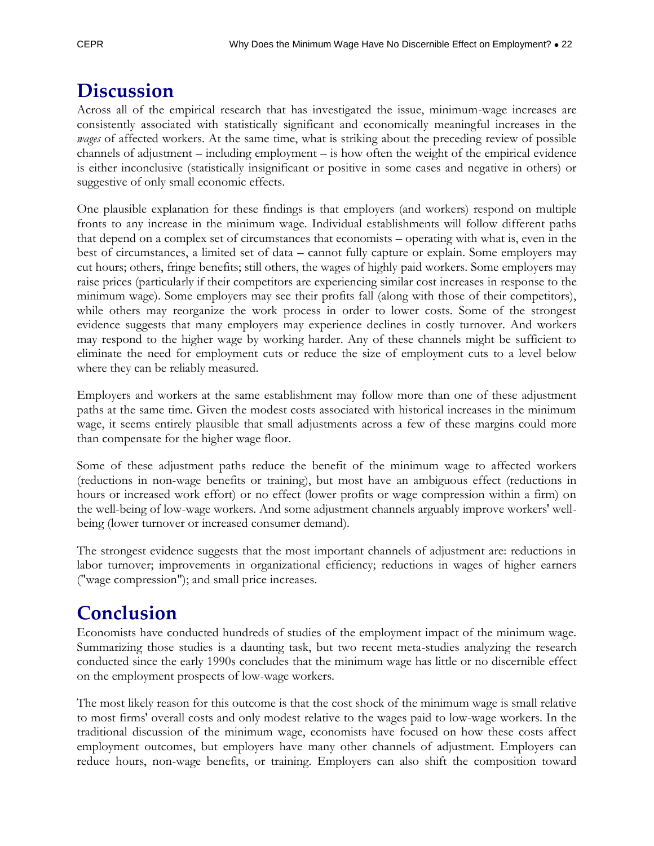# <span id="page-23-0"></span>**Discussion**

Across all of the empirical research that has investigated the issue, minimum-wage increases are consistently associated with statistically significant and economically meaningful increases in the *wages* of affected workers. At the same time, what is striking about the preceding review of possible channels of adjustment – including employment – is how often the weight of the empirical evidence is either inconclusive (statistically insignificant or positive in some cases and negative in others) or suggestive of only small economic effects.

One plausible explanation for these findings is that employers (and workers) respond on multiple fronts to any increase in the minimum wage. Individual establishments will follow different paths that depend on a complex set of circumstances that economists – operating with what is, even in the best of circumstances, a limited set of data – cannot fully capture or explain. Some employers may cut hours; others, fringe benefits; still others, the wages of highly paid workers. Some employers may raise prices (particularly if their competitors are experiencing similar cost increases in response to the minimum wage). Some employers may see their profits fall (along with those of their competitors), while others may reorganize the work process in order to lower costs. Some of the strongest evidence suggests that many employers may experience declines in costly turnover. And workers may respond to the higher wage by working harder. Any of these channels might be sufficient to eliminate the need for employment cuts or reduce the size of employment cuts to a level below where they can be reliably measured.

Employers and workers at the same establishment may follow more than one of these adjustment paths at the same time. Given the modest costs associated with historical increases in the minimum wage, it seems entirely plausible that small adjustments across a few of these margins could more than compensate for the higher wage floor.

Some of these adjustment paths reduce the benefit of the minimum wage to affected workers (reductions in non-wage benefits or training), but most have an ambiguous effect (reductions in hours or increased work effort) or no effect (lower profits or wage compression within a firm) on the well-being of low-wage workers. And some adjustment channels arguably improve workers' wellbeing (lower turnover or increased consumer demand).

The strongest evidence suggests that the most important channels of adjustment are: reductions in labor turnover; improvements in organizational efficiency; reductions in wages of higher earners ("wage compression"); and small price increases.

# <span id="page-23-1"></span>**Conclusion**

Economists have conducted hundreds of studies of the employment impact of the minimum wage. Summarizing those studies is a daunting task, but two recent meta-studies analyzing the research conducted since the early 1990s concludes that the minimum wage has little or no discernible effect on the employment prospects of low-wage workers.

The most likely reason for this outcome is that the cost shock of the minimum wage is small relative to most firms' overall costs and only modest relative to the wages paid to low-wage workers. In the traditional discussion of the minimum wage, economists have focused on how these costs affect employment outcomes, but employers have many other channels of adjustment. Employers can reduce hours, non-wage benefits, or training. Employers can also shift the composition toward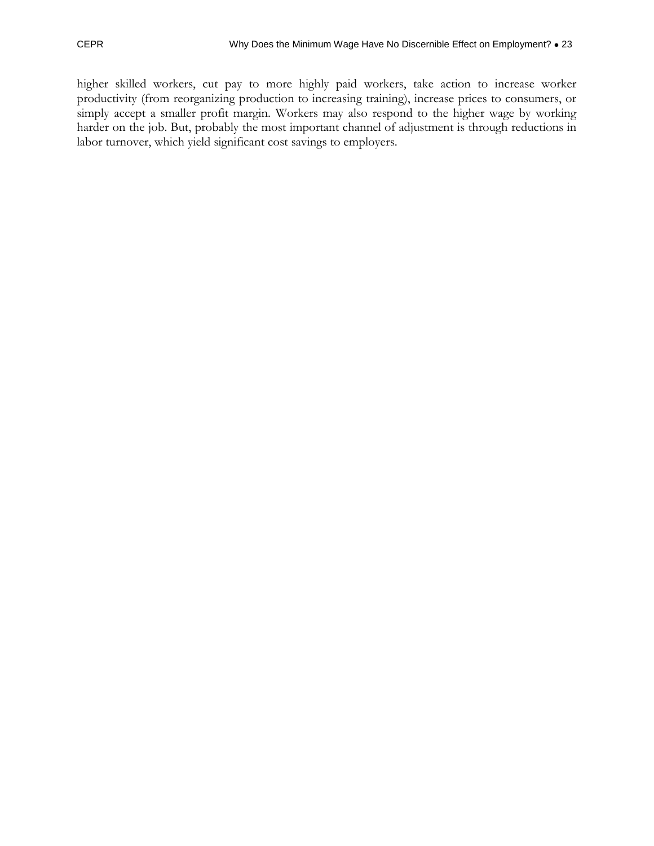higher skilled workers, cut pay to more highly paid workers, take action to increase worker productivity (from reorganizing production to increasing training), increase prices to consumers, or simply accept a smaller profit margin. Workers may also respond to the higher wage by working harder on the job. But, probably the most important channel of adjustment is through reductions in labor turnover, which yield significant cost savings to employers.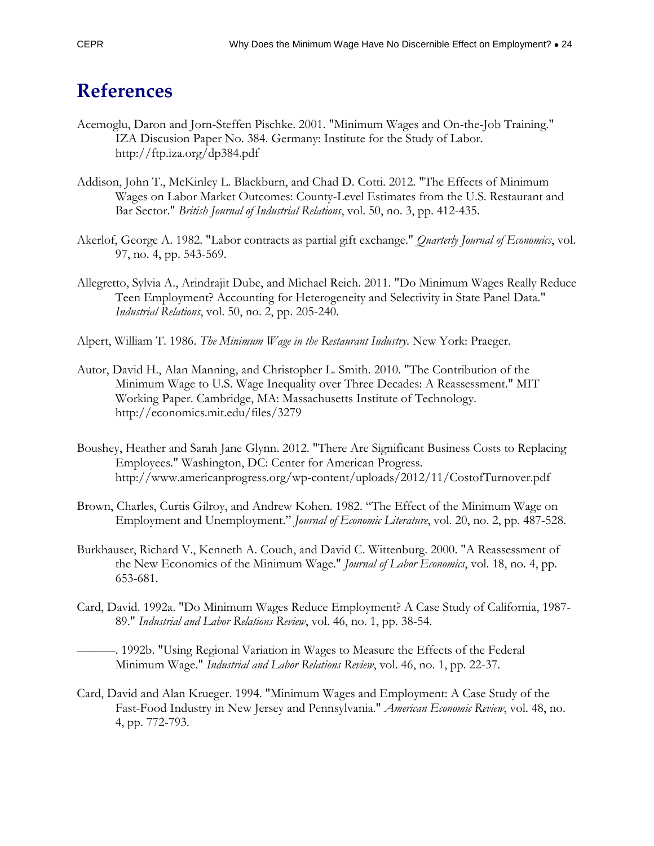- <span id="page-25-0"></span>Acemoglu, Daron and Jorn-Steffen Pischke. 2001. "Minimum Wages and On-the-Job Training." IZA Discusion Paper No. 384. Germany: Institute for the Study of Labor. http://ftp.iza.org/dp384.pdf
- Addison, John T., McKinley L. Blackburn, and Chad D. Cotti. 2012. "The Effects of Minimum Wages on Labor Market Outcomes: County-Level Estimates from the U.S. Restaurant and Bar Sector." *British Journal of Industrial Relations*, vol. 50, no. 3, pp. 412-435.
- Akerlof, George A. 1982. "Labor contracts as partial gift exchange." *Quarterly Journal of Economics*, vol. 97, no. 4, pp. 543-569.
- Allegretto, Sylvia A., Arindrajit Dube, and Michael Reich. 2011. "Do Minimum Wages Really Reduce Teen Employment? Accounting for Heterogeneity and Selectivity in State Panel Data." *Industrial Relations*, vol. 50, no. 2, pp. 205-240.
- Alpert, William T. 1986. *The Minimum Wage in the Restaurant Industry*. New York: Praeger.
- Autor, David H., Alan Manning, and Christopher L. Smith. 2010. "The Contribution of the Minimum Wage to U.S. Wage Inequality over Three Decades: A Reassessment." MIT Working Paper. Cambridge, MA: Massachusetts Institute of Technology. http://economics.mit.edu/files/3279
- Boushey, Heather and Sarah Jane Glynn. 2012. "There Are Significant Business Costs to Replacing Employees." Washington, DC: Center for American Progress. http://www.americanprogress.org/wp-content/uploads/2012/11/CostofTurnover.pdf
- Brown, Charles, Curtis Gilroy, and Andrew Kohen. 1982. "The Effect of the Minimum Wage on Employment and Unemployment." *Journal of Economic Literature*, vol. 20, no. 2, pp. 487-528.
- Burkhauser, Richard V., Kenneth A. Couch, and David C. Wittenburg. 2000. "A Reassessment of the New Economics of the Minimum Wage." *Journal of Labor Economics*, vol. 18, no. 4, pp. 653-681.
- Card, David. 1992a. "Do Minimum Wages Reduce Employment? A Case Study of California, 1987- 89." *Industrial and Labor Relations Review*, vol. 46, no. 1, pp. 38-54.

———. 1992b. "Using Regional Variation in Wages to Measure the Effects of the Federal Minimum Wage." *Industrial and Labor Relations Review*, vol. 46, no. 1, pp. 22-37.

Card, David and Alan Krueger. 1994. "Minimum Wages and Employment: A Case Study of the Fast-Food Industry in New Jersey and Pennsylvania." *American Economic Review*, vol. 48, no. 4, pp. 772-793.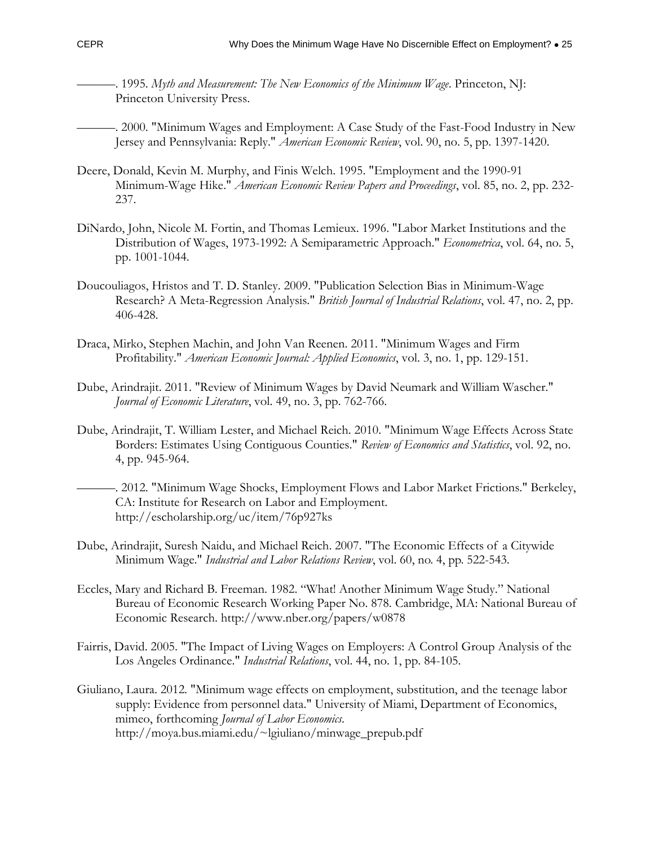- ———. 1995. *Myth and Measurement: The New Economics of the Minimum Wage*. Princeton, NJ: Princeton University Press.
- ———. 2000. "Minimum Wages and Employment: A Case Study of the Fast-Food Industry in New Jersey and Pennsylvania: Reply." *American Economic Review*, vol. 90, no. 5, pp. 1397-1420.
- Deere, Donald, Kevin M. Murphy, and Finis Welch. 1995. "Employment and the 1990-91 Minimum-Wage Hike." *American Economic Review Papers and Proceedings*, vol. 85, no. 2, pp. 232- 237.
- DiNardo, John, Nicole M. Fortin, and Thomas Lemieux. 1996. "Labor Market Institutions and the Distribution of Wages, 1973-1992: A Semiparametric Approach." *Econometrica*, vol. 64, no. 5, pp. 1001-1044.
- Doucouliagos, Hristos and T. D. Stanley. 2009. "Publication Selection Bias in Minimum-Wage Research? A Meta-Regression Analysis." *British Journal of Industrial Relations*, vol. 47, no. 2, pp. 406-428.
- Draca, Mirko, Stephen Machin, and John Van Reenen. 2011. "Minimum Wages and Firm Profitability." *American Economic Journal: Applied Economics*, vol. 3, no. 1, pp. 129-151.
- Dube, Arindrajit. 2011. "Review of Minimum Wages by David Neumark and William Wascher." *Journal of Economic Literature*, vol. 49, no. 3, pp. 762-766.
- Dube, Arindrajit, T. William Lester, and Michael Reich. 2010. "Minimum Wage Effects Across State Borders: Estimates Using Contiguous Counties." *Review of Economics and Statistics*, vol. 92, no. 4, pp. 945-964.
- ———. 2012. "Minimum Wage Shocks, Employment Flows and Labor Market Frictions." Berkeley, CA: Institute for Research on Labor and Employment. http://escholarship.org/uc/item/76p927ks
- Dube, Arindrajit, Suresh Naidu, and Michael Reich. 2007. "The Economic Effects of a Citywide Minimum Wage." *Industrial and Labor Relations Review*, vol. 60, no. 4, pp. 522-543.
- Eccles, Mary and Richard B. Freeman. 1982. "What! Another Minimum Wage Study." National Bureau of Economic Research Working Paper No. 878. Cambridge, MA: National Bureau of Economic Research. http://www.nber.org/papers/w0878
- Fairris, David. 2005. "The Impact of Living Wages on Employers: A Control Group Analysis of the Los Angeles Ordinance." *Industrial Relations*, vol. 44, no. 1, pp. 84-105.
- Giuliano, Laura. 2012. "Minimum wage effects on employment, substitution, and the teenage labor supply: Evidence from personnel data." University of Miami, Department of Economics, mimeo, forthcoming *Journal of Labor Economics*. http://moya.bus.miami.edu/~lgiuliano/minwage\_prepub.pdf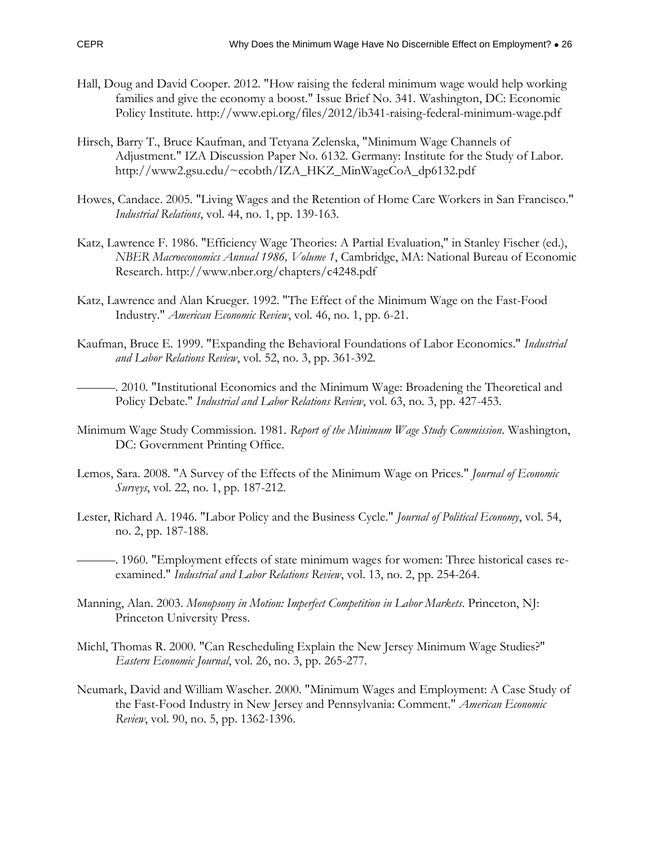- Hall, Doug and David Cooper. 2012. "How raising the federal minimum wage would help working families and give the economy a boost." Issue Brief No. 341. Washington, DC: Economic Policy Institute. http://www.epi.org/files/2012/ib341-raising-federal-minimum-wage.pdf
- Hirsch, Barry T., Bruce Kaufman, and Tetyana Zelenska, "Minimum Wage Channels of Adjustment." IZA Discussion Paper No. 6132. Germany: Institute for the Study of Labor. http://www2.gsu.edu/~ecobth/IZA\_HKZ\_MinWageCoA\_dp6132.pdf
- Howes, Candace. 2005. "Living Wages and the Retention of Home Care Workers in San Francisco." *Industrial Relations*, vol. 44, no. 1, pp. 139-163.
- Katz, Lawrence F. 1986. "Efficiency Wage Theories: A Partial Evaluation," in Stanley Fischer (ed.), *NBER Macroeconomics Annual 1986, Volume 1*, Cambridge, MA: National Bureau of Economic Research. http://www.nber.org/chapters/c4248.pdf
- Katz, Lawrence and Alan Krueger. 1992. "The Effect of the Minimum Wage on the Fast-Food Industry." *American Economic Review*, vol. 46, no. 1, pp. 6-21.
- Kaufman, Bruce E. 1999. "Expanding the Behavioral Foundations of Labor Economics." *Industrial and Labor Relations Review*, vol. 52, no. 3, pp. 361-392.
	- ———. 2010. "Institutional Economics and the Minimum Wage: Broadening the Theoretical and Policy Debate." *Industrial and Labor Relations Review*, vol. 63, no. 3, pp. 427-453.
- Minimum Wage Study Commission. 1981. *Report of the Minimum Wage Study Commission*. Washington, DC: Government Printing Office.
- Lemos, Sara. 2008. "A Survey of the Effects of the Minimum Wage on Prices." *Journal of Economic Surveys*, vol. 22, no. 1, pp. 187-212.
- Lester, Richard A. 1946. "Labor Policy and the Business Cycle." *Journal of Political Economy*, vol. 54, no. 2, pp. 187-188.
- ———. 1960. "Employment effects of state minimum wages for women: Three historical cases reexamined." *Industrial and Labor Relations Review*, vol. 13, no. 2, pp. 254-264.
- Manning, Alan. 2003. *Monopsony in Motion: Imperfect Competition in Labor Markets*. Princeton, NJ: Princeton University Press.
- Michl, Thomas R. 2000. "Can Rescheduling Explain the New Jersey Minimum Wage Studies?" *Eastern Economic Journal*, vol. 26, no. 3, pp. 265-277.
- Neumark, David and William Wascher. 2000. "Minimum Wages and Employment: A Case Study of the Fast-Food Industry in New Jersey and Pennsylvania: Comment." *American Economic Review*, vol. 90, no. 5, pp. 1362-1396.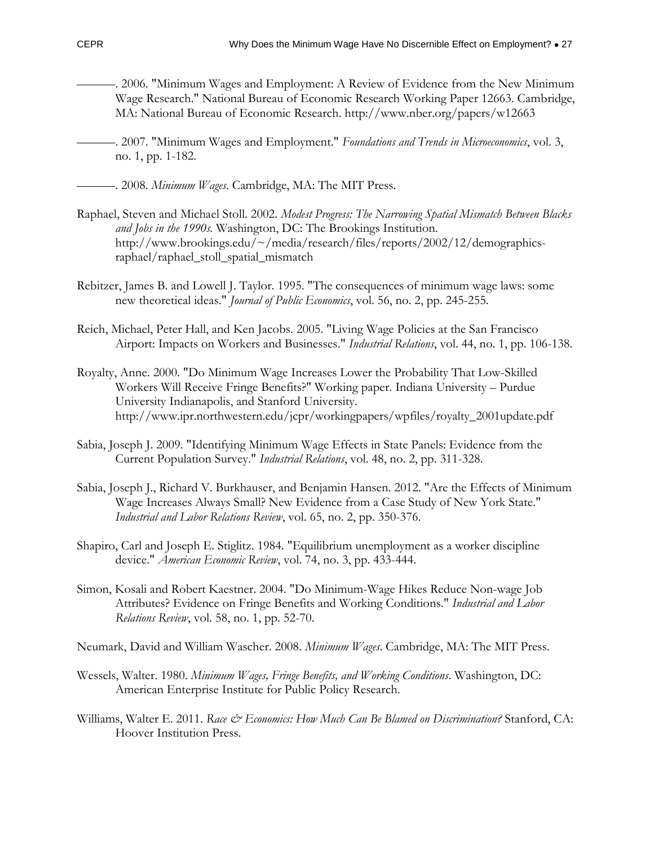- ———. 2006. "Minimum Wages and Employment: A Review of Evidence from the New Minimum Wage Research." National Bureau of Economic Research Working Paper 12663. Cambridge, MA: National Bureau of Economic Research. http://www.nber.org/papers/w12663
- ———. 2007. "Minimum Wages and Employment." *Foundations and Trends in Microeconomics*, vol. 3, no. 1, pp. 1-182.
- ———. 2008. *Minimum Wages*. Cambridge, MA: The MIT Press.
- Raphael, Steven and Michael Stoll. 2002. *Modest Progress: The Narrowing Spatial Mismatch Between Blacks and Jobs in the 1990s.* Washington, DC: The Brookings Institution. http://www.brookings.edu/~/media/research/files/reports/2002/12/demographicsraphael/raphael\_stoll\_spatial\_mismatch
- Rebitzer, James B. and Lowell J. Taylor. 1995. "The consequences of minimum wage laws: some new theoretical ideas." *Journal of Public Economics*, vol. 56, no. 2, pp. 245-255.
- Reich, Michael, Peter Hall, and Ken Jacobs. 2005. "Living Wage Policies at the San Francisco Airport: Impacts on Workers and Businesses." *Industrial Relations*, vol. 44, no. 1, pp. 106-138.
- Royalty, Anne. 2000. "Do Minimum Wage Increases Lower the Probability That Low-Skilled Workers Will Receive Fringe Benefits?" Working paper. Indiana University – Purdue University Indianapolis, and Stanford University. http://www.ipr.northwestern.edu/jcpr/workingpapers/wpfiles/royalty\_2001update.pdf
- Sabia, Joseph J. 2009. "Identifying Minimum Wage Effects in State Panels: Evidence from the Current Population Survey." *Industrial Relations*, vol. 48, no. 2, pp. 311-328.
- Sabia, Joseph J., Richard V. Burkhauser, and Benjamin Hansen. 2012. "Are the Effects of Minimum Wage Increases Always Small? New Evidence from a Case Study of New York State." *Industrial and Labor Relations Review*, vol. 65, no. 2, pp. 350-376.
- Shapiro, Carl and Joseph E. Stiglitz. 1984. "Equilibrium unemployment as a worker discipline device." *American Economic Review*, vol. 74, no. 3, pp. 433-444.
- Simon, Kosali and Robert Kaestner. 2004. "Do Minimum-Wage Hikes Reduce Non-wage Job Attributes? Evidence on Fringe Benefits and Working Conditions." *Industrial and Labor Relations Review*, vol. 58, no. 1, pp. 52-70.
- Neumark, David and William Wascher. 2008. *Minimum Wages*. Cambridge, MA: The MIT Press.
- Wessels, Walter. 1980. *Minimum Wages, Fringe Benefits, and Working Conditions*. Washington, DC: American Enterprise Institute for Public Policy Research.
- Williams, Walter E. 2011. *Race & Economics: How Much Can Be Blamed on Discrimination?* Stanford, CA: Hoover Institution Press.